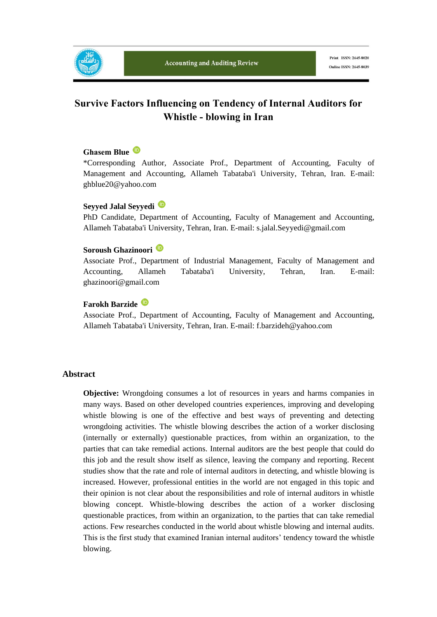

# **Survive Factors Influencing on Tendency of Internal Auditors for Whistle - blowing in Iran**

#### **Ghasem Blue**

\*Corresponding Author, Associate Prof., Department of Accounting, Faculty of Management and Accounting, Allameh Tabataba'i University, Tehran, Iran. E-mail: ghblue20@yahoo.com

#### **Seyyed Jalal Seyyedi**

PhD Candidate, Department of Accounting, Faculty of Management and Accounting, Allameh Tabataba'i University, Tehran, Iran. E-mail: s.jalal.Seyyedi@gmail.com

#### **Soroush Ghazinoori**

Associate Prof., Department of Industrial Management, Faculty of Management and Accounting, Allameh Tabataba'i University, Tehran, Iran. E-mail: ghazinoori@gmail.com

#### **Farokh Barzide**

Associate Prof., Department of Accounting, Faculty of Management and Accounting, Allameh Tabataba'i University, Tehran, Iran. E-mail: f.barzideh@yahoo.com

#### **Abstract**

**Objective:** Wrongdoing consumes a lot of resources in years and harms companies in many ways. Based on other developed countries experiences, improving and developing whistle blowing is one of the effective and best ways of preventing and detecting wrongdoing activities. The whistle blowing describes the action of a worker disclosing (internally or externally) questionable practices, from within an organization, to the parties that can take remedial actions. Internal auditors are the best people that could do this job and the result show itself as silence, leaving the company and reporting. Recent studies show that the rate and role of internal auditors in detecting, and whistle blowing is increased. However, professional entities in the world are not engaged in this topic and their opinion is not clear about the responsibilities and role of internal auditors in whistle blowing concept. Whistle-blowing describes the action of a worker disclosing questionable practices, from within an organization, to the parties that can take remedial actions. Few researches conducted in the world about whistle blowing and internal audits. This is the first study that examined Iranian internal auditors' tendency toward the whistle blowing.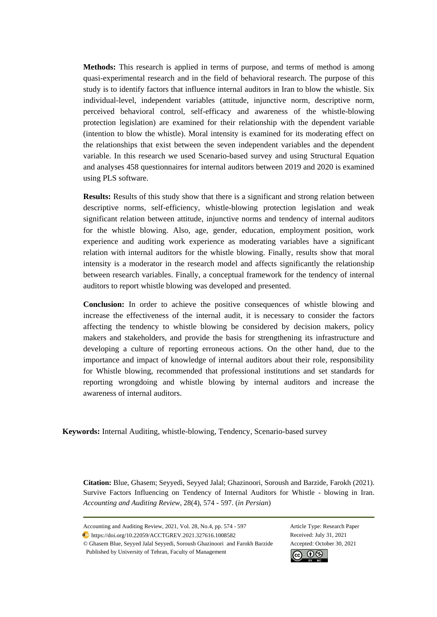**Methods:** This research is applied in terms of purpose, and terms of method is among quasi-experimental research and in the field of behavioral research. The purpose of this study is to identify factors that influence internal auditors in Iran to blow the whistle. Six individual-level, independent variables (attitude, injunctive norm, descriptive norm, perceived behavioral control, self-efficacy and awareness of the whistle-blowing protection legislation) are examined for their relationship with the dependent variable (intention to blow the whistle). Moral intensity is examined for its moderating effect on the relationships that exist between the seven independent variables and the dependent variable. In this research we used Scenario-based survey and using Structural Equation and analyses 458 questionnaires for internal auditors between 2019 and 2020 is examined using PLS software.

**Results:** Results of this study show that there is a significant and strong relation between descriptive norms, self-efficiency, whistle-blowing protection legislation and weak significant relation between attitude, injunctive norms and tendency of internal auditors for the whistle blowing. Also, age, gender, education, employment position, work experience and auditing work experience as moderating variables have a significant relation with internal auditors for the whistle blowing. Finally, results show that moral intensity is a moderator in the research model and affects significantly the relationship between research variables. Finally, a conceptual framework for the tendency of internal auditors to report whistle blowing was developed and presented.

**Conclusion:** In order to achieve the positive consequences of whistle blowing and increase the effectiveness of the internal audit, it is necessary to consider the factors affecting the tendency to whistle blowing be considered by decision makers, policy makers and stakeholders, and provide the basis for strengthening its infrastructure and developing a culture of reporting erroneous actions. On the other hand, due to the importance and impact of knowledge of internal auditors about their role, responsibility for Whistle blowing, recommended that professional institutions and set standards for reporting wrongdoing and whistle blowing by internal auditors and increase the awareness of internal auditors.

**Keywords:** Internal Auditing, whistle-blowing, Tendency, Scenario-based survey

**Citation:** Blue, Ghasem; Seyyedi, Seyyed Jalal; Ghazinoori, Soroush and Barzide, Farokh (2021). Survive Factors Influencing on Tendency of Internal Auditors for Whistle - blowing in Iran. *Accounting and Auditing Review*, 28(4), 574 - 597. (*in Persian*)

© Ghasem Blue, Seyyed Jalal Seyyedi, Soroush Ghazinoori and Farokh Barzide Accepted: October 30, 2021 Published by University of Tehran, Faculty of Management



Accounting and Auditing Review, 2021, Vol. 28, No.4, pp. 574 - 597 Article Type: Research Paper

https://doi.org/10.22059/ACCTGREV.2021.327616.1008582 Received: July 31, 2021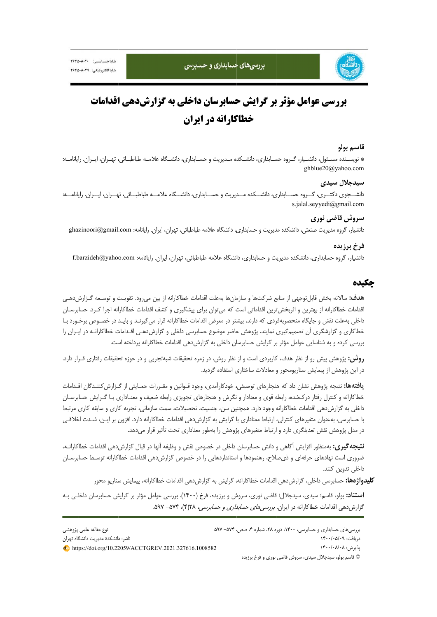

پژوهشي نوع مقاله: علمي

# **بررسي عوامل مؤثر بر گرايش حسابرسان داخلي به گزارشدهي اقدامات خطاكارانه در ايران**

#### **سم بولو قاس**

\* نويســنده مســئول، دانشــيار، گــروه حســابداري، دانشــكده مــديريت و حســابداري، دانشــگاه علامــه طباطبــائي، تهــران، ايــران. رايانامــه: ghbl lue20@yahoo.c com

#### **دجلال سيدي سيد**

دانشـــجوي دكتـــري، گـــروه حســـابداري، دانشـــكده مـــديريت و حســـابداري، دانشـــگاه علامـــه طباطبـــائي، تهـــران، ايـــران. رايانامــــه: s.jalal.seyyedi@gmail.com

# **ي وش قاضي نوري سرو**

دانشيار، گروه مديريت صنعتي، دانشكده مديريت و حسابداري، دانشگاه علامه طباطبائي، تهران، ايران. رايانامه: ghazinoori@gmail.com

### **خ برزيده فرخ**

دانشيار، گروه حسابداري، دانشكده مديريت و حسابداري، دانشگاه علامه طباطبائي، تهران، ايران. رايانامه: f.barzideh@yahoo.com

### **ه چكيده**

ه**دف:** سالانه بخش قابل توجهي از منابع شركت ها و سازمان ها بهعلت اقدامات خطاكارانه از بين مي٫ود. تقويـت و توسـعه گـزارش دهـي قدامات خطاكارانه از بهترين و اثربخشترين اقداماتي است كه مي¤وان براي پيشگيري و كشف اقدامات خطاكارانه اجرا كـرد. حسابرسـان داخلي بهعلت نقش و جايگاه منحصربهفردى كه دارند، بيشتر در معرض اقدامات خطاكارانه قرار ميگيرنـد و بايـد در خصـوص برخـورد بـا خطاكارى و گزارشگرى آن تصميمگيرى نمايند. پژوهش حاضر موضوع حسابرسى داخلى و گزارشدهـى اقـدامات خطاكارانـه در ايـران را بررسی کرده و به شناسایی عوامل مؤثر بر گرایش حسابرسان داخلی به گزارشدهی اقدامات خطاکارانه پرداخته است.

**روش:** پژوهش پيش رو از نظر هدف، كاربردى است و از نظر روش، در زمره تحقيقات شبهتجربى و در حوزه تحقيقات رفتارى قـرار دارد. در اين پژوهش از پيمايش سناريومحور و معادلات ساختارى استفاده گرديد.

**يافتهها:** نتيجه پژوهش نشان داد كه هنجارهاى توصيفى، خودكارآمدى، وجود قـوانين و مقـررات حمـايتى از گـزارش2ننـدگان اقـدامات خطاكارانه و كنترل رفتار دركشده، رابطه قوى و معنادار و نگرش و هنجارهاى تجويزى رابطه ضعيف و معنـادارى بـا گـرايش حسابرسـان داخلي به گزارشدهي اقدامات خطاكارانه وجود دارد. همچنين سن، جنسيت، تحصيلات، سمت سازماني، تجربه كاري و سابقه كاري مرتبط با حسابرسي، بهعنوان متغيرهاي كنترلي، ارتباط معناداري با گرايش به گزارشدهي اقدامات خطاكارانه دارد. افزون بر ايـن، شـدت اخلاقـي در مدل پژوهش نقش تعديلگرى دارد و ارتباط متغيرهاى پژوهش را بهطور معنادارى تحت تأثير قرار مىدهد.

ن**تيجه گيري:** بهمنظور افزايش أگاهي و دانش حسابرسان داخلي در خصوص نقش و وظيفه أنها در قبال گزارشدهي اقدامات خطاكارانــه، ضروری است نهادهای حرفهای و ذیصلاح، رهنمودها و استانداردهایی را در خصوص گزارشدهی اقدامات خطاکارانه توسـط حسابرسـان ي تدوين كنند. داخلي

**كليدواژهها:** حسابرسي داخلي، گزارش(دهي اقدامات خطاكارانه، گرايش به گزارش(دهي اقدامات خطاكارانه، پيمايش سناريو محور

ا**ستناد:** بولو، قاسم؛ سیدی، سیدجلال؛ قاضی نوری، سروش و برزیده، فرخ (۱۴۰۰). بررسی عوامل مؤثر بر گرایش حسابرسان داخلـی بـه گزارشدهی اقدامات خطاکارانه در ايران. *بررسی های حسابداری و حسابرسی،* ۲۸(۴)، ۵۹۲– ۵۹۷.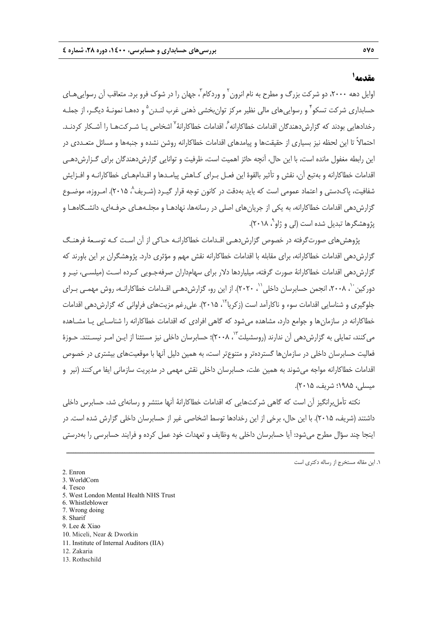# **<sup>1</sup> مقدمه**

ّوایل دهه ۲۰۰۰، دو شرکت بزرگ و مطرح به نام انرون ` و وردکام ّ، جهان را در شوک فرو برد. متعاقب آن رسواییهـای حسابداري شركت تسكو ً و رسوايي هاي مالي نظير مركز توان بخشي ذهني غرب لنـدن <sup>۵</sup> و دههـا نمونـهٔ ديگـر، از جملـه رخدادهایی بودند که گزارش دهندگان اقدامات خطاکارانه <sup>7</sup> اقدامات خطاکارانهٔ <sup>۷</sup> اشخاص پـا شـر کتهـا را آشـکار کردنـد. احتمالاً تا اين لحظه نيز بسياري از حقيقتها و پيامدهاي اقدامات خطاكارانه روشن نشده و جنبهها و مسائل متعـددي در اين رابطه مغفول مانده است، با اين حال، آنچه حائز اهميت است، ظرفيت و توانايي گزارشدهندگان براي گـزارشدهـي اقدامات خطاكارانه و بهتبع آن، نقش و تأثير بالقوة اين فعـل بـراي كـاهش پيامـدها و اقـدامهـاي خطاكارانـه و افـزايش شفافيت، پاک<code>دستي</code> و اعتماد عمومي است كه بايد بهدقت در كانون توجه قرار گيـرد (شـريف^، ۲۰۱۵). امـروزه، موضـوع گزارشدهي اقدامات خطاكارانه، به يكي از جريانهاي اصلي در رسانهها، نهادهـا و مجلـههـاي حرفـهاي، دانشـگاههـا و پژوهشگرها تبديل شده است (لي و ژاو`، ۲۰۱۸).

پژوهشهاي صورتگرفته در خصوص گزارش دهـي اقـدامات خطاكارانـه حـاكي از آن اسـت كـه توسـعهٔ فرهنـگ گزارشدهي اقدامات خطاكارانه، براي مقابله با اقدامات خطاكارانه نقش مهم و مؤثري دارد. پژوهشگران بر اين باورند كه گزارشدهي اقدامات خطاكارانة صورت گرفته، ميلياردها دلار براي سهامداران صرفهجـويي كـرده اسـت (ميلسـي، نيـر و دور كين ``، ٢٠٠٨، انجمن حسابرسان داخلي ``، ٢٠٢٠). از اين رو، گزارشدهـي اقـدامات خطاكارانـه، روش مهمـي بـراي جلوگيري و شناسايي اقدامات سوء و ناكارآمد است (زكريا<sup>۱۲</sup>، ۲۰۱۵). علي رغم مزيتهاي فراواني كه گزارش دهي اقدامات خطاكارانه در سازمانها و جوامع دارد، مشاهده ميشود كه گاهي افرادي كه اقدامات خطاكارانه را شناسـايي يـا مشـاهده می كنند، تمايلی به گزارشدهی آن ندارند (روسشيلت<sup>۱۳</sup>، ۲۰۰۸)؛ حسابرسان داخلی نيز مستثنا از ايـن امـر نيسـتند. حـوزهٔ فعاليت حسابرسان داخلي در سازمانها گستردهتر و متنوعتر است، به همين دليل آنها با موقعيتهاي بيشتري در خصوص اقدامات خطاكارانه مواجه ميشوند به همين علت، حسابرسان داخلي نقش مهمي در مديريت سازماني ايفا ميكنند (نير و ميسلي، 1985؛ شريف، 2015).

نكته تأملبرانگيز آن است كه گاهي شركتهايي كه اقدامات خطاكارانة آنها منتشر و رسانهاي شد، حسابرس داخلي داشتند (شريف، 2015). با اين حال، برخي از اين رخدادها توسط اشخاصي غير از حسابرسان داخلي گزارش شده است. در اينجا چند سؤال مطرح ميشود: آيا حسابرسان داخلي به وظايف و تعهدات خود عمل كرده و فرايند حسابرسي را بهدرستي

- 5. West London Mental Health NHS Trust
- 6. Whistleblower
- 7. Wrong doing 8. Sharif
- 9. Lee & Xiao
- 10. Miceli, Near & Dworkin
- 11. Institute of Internal Auditors (IIA)
- 12. Zakaria
- 13. Rothschild

<sup>.1</sup> اين مقاله مستخرج از رساله دكتري است

<sup>2.</sup> Enron

<sup>3.</sup> WorldCom

<sup>4.</sup> Tesco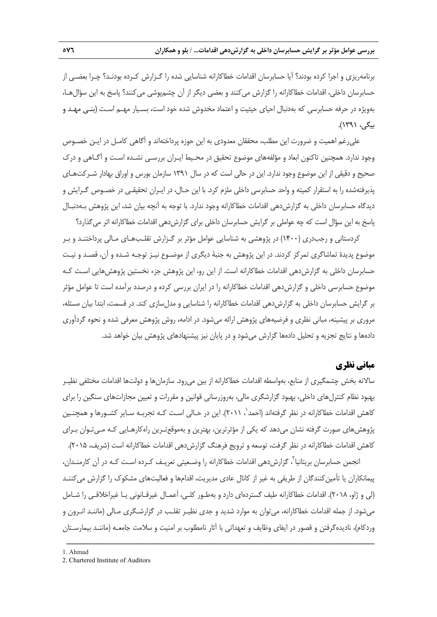برنامهريزي و اجرا كرده بودند؟ آيا حسابرسان اقدامات خطاكارانه شناسايي شده را گـزارش كـرده بودنـد؟ چـرا بعضـي از حسابرسان داخلي، اقدامات خطاكارانه را گزارش ميكنند و بعضي ديگر از آن چشمپوشي ميكنند؟ پاسخ به اين سؤالهـا، بهويژه در حرفه حسابرسي كه بهدنبال احياي حيثيت و اعتماد مخدوش شده خود است، بسـيار مهـم اسـت (بنـي مهـد و بيگي، 1391).

عليرغم اهميت و ضرورت اين مطلب، محققان معدودي به اين حوزه پرداختهاند و آگاهي كامـل در ايـن خصـوص وجود ندارد. همچنين تاكنون ابعاد و مؤلفههاي موضوع تحقيق در محـيط ايـران بررسـي نشـده اسـت و آگـاهي و درك صحيح و دقيقي از اين موضوع وجود ندارد. اين در حالي است كه در سال 1391 سازمان بورس و اوراق بهادار شـركتهـاي پذيرفتهشده را به استقرار كميته و واحد حسابرسي داخلي ملزم كرد. با اين حـال، در ايـران تحقيقـي در خصـوص گـرايش و ديدگاه حسابرسان داخلي به گزارش دهي اقدامات خطاكارانه وجود ندارد. با توجه به آنچه بيان شد، اين پژوهش بـهدنبـال پاسخ به اين سؤال است كه چه عواملي بر گرايش حسابرسان داخلي براي گزارشدهي اقدامات خطاكارانه اثر ميگذارد؟

كردستاني و رجبدري (1400) در پژوهشي به شناسايي عوامل مؤثر بر گـزارش تقلـبهـاي مـالي پرداختنـد و بـر موضوع پديدة تماشاگري تمركز كردند. در اين پژوهش به جنبة ديگري از موضـوع نيـز توجـه شـده و آن، قصـد و نيـت حسابرسان داخلي به گزارشدهي اقدامات خطاكارانه است. از اين رو، اين پژوهش جزء نخستين پژوهشهايي اسـت كـه موضوع حسابرسي داخلي و گزارشدهي اقدامات خطاكارانه را در ايران بررسي كرده و درصدد برآمده است تا عوامل مؤثر بر گرايش حسابرسان داخلي به گزارشدهي اقدامات خطاكارانه را شناسايي و مدلسازي كند. در قسمت، ابتدا بيان مسئله، مروري بر پيشينه، مباني نظري و فرضيههاي پژوهش ارائه ميشود. در ادامه، روش پژوهش معرفي شده و نحوه گردآوري دادهها و نتايج تجزيه و تحليل دادهها گزارش ميشود و در پايان نيز پيشنهادهاي پژوهش بيان خواهد شد.

# **مباني نظري**

سالانه بخش چشمگيري از منابع، بهواسطه اقدامات خطاكارانه از بين ميرود. سازمانها و دولتها اقدامات مختلفي نظيـر بهبود نظام كنترلهاي داخلي، بهبود گزارشگري مالي، بهروزرساني قوانين و مقررات و تعيين مجازاتهاي سنگين را براي كاهش اقدامات خطاكارانه در نظر گرفتهاند (احمد $'$ ، ۲۰۱۱). اين در حـالي اسـت كـه تجربـه سـاير كشـورها و همچنـين پژوهشهاي صورت گرفته نشان ميدهد كه يكي از مؤثرترين، بهترين و بهموقعتـرين راهكارهـايي كـه مـيتـوان بـراي كاهش اقدامات خطاكارانه در نظر گرفت، توسعه و ترويج فرهنگ گزارش دهي اقدامات خطاكارانه است (شريف، ۲۰۱۵).

انجمن حسابرسان بريتانيا<sup>7</sup>، گزارش‹هي اقدامات خطاكارانه را وضـعيتي تعريـف كـرده اسـت كـه در آن كارمنـدان، پيمانكاران يا تأمين كنندگان از طريقي به غير از كانال عادي مديريت، اقدامها و فعاليتهاي مشكوك را گزارش ميكننـد (لي و ژاو، 2018). اقدامات خطاكارانه طيف گستردهاي دارد و بهطـور كلـي، اَعمـال غيرقـانوني يـا غيراخلاقـي را شـامل ميشود. از جمله اقدامات خطاكارانه، ميتوان به موارد شديد و جدي نظيـر تقلـب در گزارشـگري مـالي (ماننـد انـرون و وردكام)، ناديدهگرفتن و قصور در ايفاي وظايف و تعهداتي با آثار نامطلوب بر امنيت و سلامت جامعـه (ماننـد بيمارسـتان

<sup>1.</sup> Ahmad

<sup>2.</sup> Chartered Institute of Auditors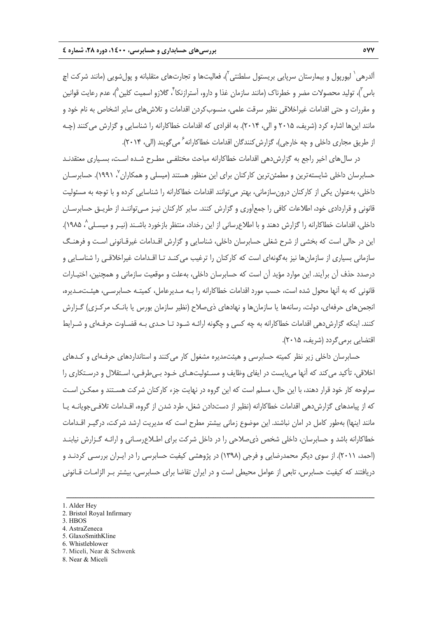آلدرهي <sup>(</sup> ليورپول و بيمارستان سرپايي بريستول سلطنتي <sup>٢</sup>)، فعاليتها و تجارتهاي متقلبانه و پول شويي (مانند شركت اچ باس ّ)، توليد محصولات مضر و خطرناک (مانند سازمان غذا و دارو، آسترازنكا<sup>۴</sup>، گلازو اسميت كلين <sup>۵</sup>)، عدم رعايت قوانين و مقررات و حتي اقدامات غيراخلاقي نظير سرقت علمي، منسوبكردن اقدامات و تلاشهاي ساير اشخاص به نام خود و مانند اينها اشاره كرد (شريف، 2015 و الي، 2014). به افرادي كه اقدامات خطاكارانه را شناسايي و گزارش ميكنند (چـه از طريق مجاري داخلي و چه خارجي)، گزارش كنندگان اقدامات خطاكارانه ً مي گويند (الي، ۲۰۱۴).

در سال هاي اخير راجع به گزارش دهي اقدامات خطاكارانه مباحث مختلفـي مطـرح شـده اسـت، بسـياري معتقدنـد حسابرسان داخلي شايستهترين و مطمئنترين كاركنان براي اين منظور هستند (ميسلي و همكاران<sup>٧</sup> ١٩٩١). حسابرسـان داخلي، بهعنوان يكي از كاركنان درونسازماني، بهتر ميتوانند اقدامات خطاكارانه را شناسايي كرده و با توجه به مسئوليت قانوني و قراردادي خود، اطلاعات كافي را جمعآوري و گزارش كنند. ساير كاركنان نيـز مـيتواننـد از طريـق حسابرسـان داخلي، اقدامات خطاكارانه را گزارش دهند و با اطلاعرساني از اين رخداد، منتظر بازخورد باشـند (نيـر و ميسـلي ^ ١٩٨۵). اين در حالي است كه بخشي از شرح شغلي حسابرسان داخلي، شناسايي و گزارش اقـدامات غيرقـانوني اسـت و فرهنـگ سازماني بسياري از سازمانها نيز بهگونهاي است كه كاركنان را ترغيب ميكنـد تـا اقـدامات غيراخلاقـي را شناسـايي و درصدد حذف آن برآيند. اين موارد مؤيد آن است كه حسابرسان داخلي، بهعلت و موقعيت سازماني و همچنين، اختيـارات قانوني كه به آنها محول شده است، حسب مورد اقدامات خطاكارانه را بـه مـديرعامل، كميتـه حسابرسـي، هيئـتمـديره، انجمنهاي حرفهاي، دولت، رسانهها يا سازمانها و نهادهاي ذيصلاح (نظير سازمان بورس يا بانـك مركـزي) گـزارش كنند. اينكه گزارش دهي اقدامات خطاكارانه به چه كسي و چگونه ارائـه شـود تـا حـدي بـه قضـاوت حرفـهاي و شـرايط اقتضايي برميگردد (شريف، 2015).

حسابرسان داخلي زير نظر كميته حسابرسي و هيئتمديره مشغول كار ميكنند و استانداردهاي حرفـهاي و كـدهاي اخلاقي، تأكيد ميكند كه آنها ميبايست در ايفاي وظايف و مسـئوليتهـاي خـود بـيطرفـي، اسـتقلال و درسـتكاري را سرلوحه كار خود قرار دهند، با اين حال، مسلم است كه اين گروه در نهايت جزء كاركنان شركت هسـتند و ممكـن اسـت كه از پيامدهاي گزارشدهي اقدامات خطاكارانه (نظير از دستدادن شغل، طرد شدن از گروه، اقـدامات تلافـيجويانـه يـا مانند اينها) بهطور كامل در امان نباشند. اين موضوع زماني بيشتر مطرح است كه مديريت ارشد شركت، درگيـر اقـدامات خطاكارانه باشد و حسابرسان، داخلي شخص ذيصلاحي را در داخل شركت براي اطـلاعرسـاني و ارائـه گـزارش نيابنـد (احمد، 2011). از سوي ديگر محمدرضايي و فرجي (1398) در پژوهشي كيفيت حسابرسي را در ايـران بررسـي كردنـد و دريافتند كه كيفيت حسابرس، تابعي از عوامل محيطي است و در ايران تقاضا براي حسابرسي، بيشتر بـر الزامـات قـانوني

- 2. Bristol Royal Infirmary
- 3. HBOS
- 4. AstraZeneca
- 5. GlaxoSmithKline
- 6. Whistleblower
- 7. Miceli, Near & Schwenk
- 8. Near & Miceli

<sup>1.</sup> Alder Hey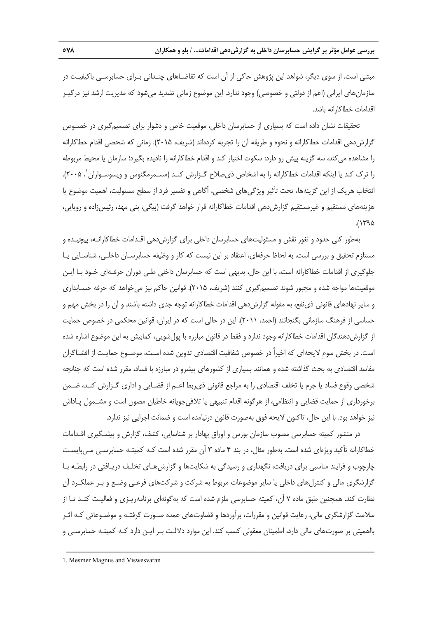مبتني است. از سوي ديگر، شواهد اين پژوهش حاكي از آن است كه تقاضـاهاي چنـداني بـراي حسابرسـي باكيفيـت در سازمانهاي ايراني (اعم از دولتي و خصوصي) وجود ندارد. اين موضوع زماني تشديد ميشود كه مديريت ارشد نيز درگيـر اقدامات خطاكارانه باشد.

تحقيقات نشان داده است كه بسياري از حسابرسان داخلي، موقعيت خاص و دشوار براي تصميمگيري در خصـوص گزارشدهي اقدامات خطاكارانه و نحوه و طريقه آن را تجربه كردهاند (شريف، 2015). زماني كه شخصي اقدام خطاكارانه را مشاهده ميكند، سه گزينه پيش رو دارد: سكوت اختيار كند و اقدام خطاكارانه را ناديده بگيرد؛ سازمان يا محيط مربوطه را ترک کند يا اينکه اقدامات خطاکارانه را به اشخاص ذي صلاح گـزارش کنـد (مسـمرمگنوس و ويسوسـواران '، ۲۰۰۵). انتخاب هريك از اين گزينهها، تحت تأثير ويژگيهاي شخصي، آگاهي و تفسير فرد از سطح مسئوليت، اهميت موضوع يا هزينههاي مستقيم و غيرمستقيم گزارش دهي اقدامات خطاكارانه قرار خواهد گرفت (بيگي، بني مهد، رئيس;اده و رويايي،  $.(\gamma$ ۹۵

بهطور كلي حدود و ثغور نقش و مسئوليتهاي حسابرسان داخلي براي گزارشدهي اقـدامات خطاكارانـه، پيچيـده و مستلزم تحقيق و بررسي است. به لحاظ حرفهاي، اعتقاد بر اين نيست كه كار و وظيفه حسابرسـان داخلـي، شناسـايي يـا جلوگيري از اقدامات خطاكارانه است، با اين حال، بديهي است كه حسابرسان داخلي طـي دوران حرفـهاي خـود بـا ايـن موقعيتها مواجه شده و مجبور شوند تصميمگيري كنند (شريف، 2015). قوانين حاكم نيز ميخواهد كه حرفه حسـابداري و ساير نهادهاي قانوني ذينفع، به مقوله گزارشدهي اقدامات خطاكارانه توجه جدي داشته باشند و آن را در بخش مهم و حساسي از فرهنگ سازماني بگنجانند (احمد، 2011). اين در حالي است كه در ايران، قوانين محكمي در خصوص حمايت از گزارشدهندگان اقدامات خطاكارانه وجود ندارد و فقط در قانون مبارزه با پولشويي، كمابيش به اين موضوع اشاره شده است. در بخش سومِ لايحهاي كه اخيراً در خصوص شفافيت اقتصادي تدوين شده اسـت، موضـوع حمايـت از افشـاگران مفاسد اقتصادي به بحث گذاشته شده و همانند بسياري از كشورهاي پيشرو در مبارزه با فساد، مقرر شده است كه چنانچه شخصي وقوع فساد يا جرم يا تخلف اقتصادي را به مراجع قانوني ذيربط اعـم از قضـايي و اداري گـزارش كنـد، ضـمن برخورداري از حمايت قضايي و انتظامي، از هرگونه اقدام تنبيهي يا تلافيجويانه خاطيان مصون است و مشـمول پـاداش نيز خواهد بود. با اين حال، تاكنون لايحه فوق بهصورت قانون درنيامده است و ضمانت اجرايي نيز ندارد.

در منشور كميته حسابرسي مصوب سازمان بورس و اوراق بهادار بر شناسايي، كشف، گزارش و پيشـگيري اقـدامات خطاكارانه تأكيد ويژهاي شده است. بهطور مثال، در بند 4 ماده 3 آن مقرر شده است كـه كميتـه حسابرسـي مـيبايسـت چارچوب و فرايند مناسبي براي دريافت، نگهداري و رسيدگي به شكايتها و گزارشهـاي تخلـف دريـافتي در رابطـه بـا گزارشگري مالي و كنترلهاي داخلي يا ساير موضوعات مربوط به شركت و شركتهاي فرعـي وضـع و بـر عملكـرد آن نظارت كند. همچنين طبق ماده 7 آن، كميته حسابرسي ملزم شده است كه بهگونهاي برنامهريـزي و فعاليـت كنـد تـا از سلامت گزارشگري مالي، رعايت قوانين و مقررات، برآوردها و قضاوتهاي عمده صـورت گرفتـه و موضـوعاتي كـه اثـر بااهميتي بر صورتهاي مالي دارد، اطمينان معقولي كسب كند. اين موارد دلالـت بـر ايـن دارد كـه كميتـه حسابرسـي و

<sup>1.</sup> Mesmer Magnus and Viswesvaran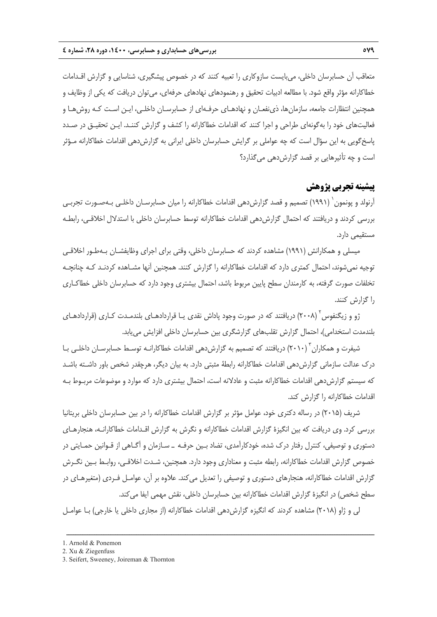متعاقب آن حسابرسان داخلي، ميبايست سازوكاري را تعبيه كنند كه در خصوص پيشگيري، شناسايي و گزارش اقـدامات خطاكارانه مؤثر واقع شود. با مطالعه ادبيات تحقيق و رهنمودهاي نهادهاي حرفهاي، ميتوان دريافت كه يكي از وظايف و همچنين انتظارات جامعه، سازمانها، ذينفعـان و نهادهـاي حرفـهاي از حسابرسـان داخلـي، ايـن اسـت كـه روشهـا و فعاليتهاي خود را بهگونهاي طراحي و اجرا كنند كه اقدامات خطاكارانه را كشف و گزارش كننـد. ايـن تحقيـق در صـدد پاسخگويي به اين سؤال است كه چه عواملي بر گرايش حسابرسان داخلي ايراني به گزارشدهي اقدامات خطاكارانه مـؤثر است و چه تأثيرهايي بر قصد گزارشدهي ميگذارد؟

# **پيشينه تجربي پژوهش**

آرنولد و پونمون ( ۱۹۹۱) تصميم و قصد گزارشدهي اقدامات خطاكارانه را ميان حسابرسـان داخلـي بـهصـورت تجربـي بررسي كردند و دريافتند كه احتمال گزارشدهي اقدامات خطاكارانه توسط حسابرسان داخلي با استدلال اخلاقـي، رابطـه مستقيمي دارد.

ميسلي و همكارانش (1991) مشاهده كردند كه حسابرسان داخلي، وقتي براي اجراي وظايفشـان بـهطـور اخلاقـي توجيه نميشوند، احتمال كمتري دارد كه اقدامات خطاكارانه را گزارش كنند. همچنين آنها مشـاهده كردنـد كـه چنانچـه تخلفات صورت گرفته، به كارمندان سطح پايين مربوط باشد، احتمال بيشتري وجود دارد كه حسابرسان داخلي خطاكـاري را گزارش كنند.

ژو و زيگنفوس ٔ (۲۰۰۸) دريافتند كه در صورت وجود پاداش نقدي يـا قراردادهـاي بلندمـدت كـاري (قراردادهـاي بلندمدت استخدامي)، احتمال گزارش تقلبهاي گزارشگري بين حسابرسان داخلي افزايش مييابد.

شيفرت و همكاران (٢٠١٠) دريافتند كه تصميم به گزارش دهي اقدامات خطاكارانــه توسـط حسابرسـان داخلـي بـا درك عدالت سازماني گزارشدهي اقدامات خطاكارانه رابطة مثبتي دارد. به بيان ديگر، هرچقدر شخص باور داشـته باشـد كه سيستم گزارشدهي اقدامات خطاكارانه مثبت و عادلانه است، احتمال بيشتري دارد كه موارد و موضوعات مربـوط بـه اقدامات خطاكارانه را گزارش كند.

شريف (2015) در رساله دكتري خود، عوامل مؤثر بر گزارش اقدامات خطاكارانه را در بين حسابرسان داخلي بريتانيا بررسي كرد. وي دريافت كه بين انگيزة گزارش اقدامات خطاكارانه و نگرش به گزارش اقـدامات خطاكارانـه، هنجارهـاي دستوري و توصيفي، كنترل رفتار درك شده، خودكارآمدي، تضاد بـين حرفـه ـ سـازمان و آگـاهي از قـوانين حمـايتي در خصوص گزارش اقدامات خطاكارانه، رابطه مثبت و معناداري وجود دارد. همچنين، شـدت اخلاقـي، روابـط بـين نگـرش گزارش اقدامات خطاكارانه، هنجارهاي دستوري و توصيفي را تعديل ميكند. علاوه بر آن، عوامـل فـردي (متغيرهـاي در سطح شخص) در انگيزة گزارش اقدامات خطاكارانه بين حسابرسان داخلي، نقش مهمي ايفا ميكند.

لي و ژاو (2018) مشاهده كردند كه انگيزه گزارشدهي اقدامات خطاكارانه (از مجاري داخلي يا خارجي) بـا عوامـل

<sup>1.</sup> Arnold & Ponemon

<sup>2.</sup> Xu & Ziegenfuss

<sup>3.</sup> Seifert, Sweeney, Joireman & Thornton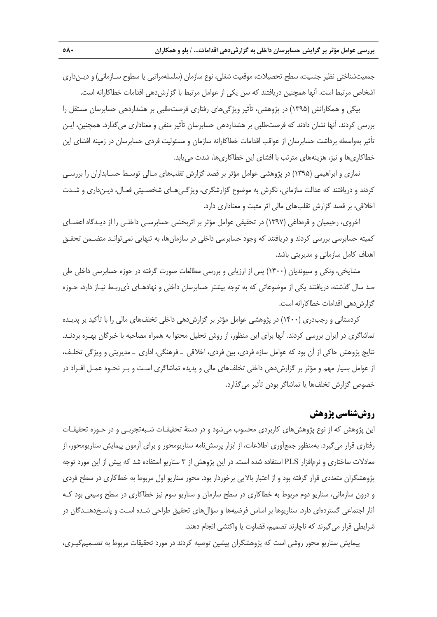جمعيتشناختي نظير جنسيت، سطح تحصيلات، موقعيت شغلي، نوع سازمان (سلسلهمراتبي يا سطوح سـازماني) و ديـنداري اشخاص مرتبط است. آنها همچنين دريافتند كه سن يكي از عوامل مرتبط با گزارشدهي اقدامات خطاكارانه است.

بيگي و همكارانش (1395) در پژوهشي، تأثير ويژگيهاي رفتاري فرصتطلبي بر هشداردهي حسابرسان مستقل را بررسي كردند. آنها نشان دادند كه فرصتطلبي بر هشداردهي حسابرسان تأثير منفي و معناداري ميگذارد. همچنين، ايـن تأثير بهواسطه برداشت حسابرسان از عواقب اقدامات خطاكارانه سازمان و مسئوليت فردي حسابرسان در زمينه افشاي اين خطاكاريها و نيز، هزينههاي مترتب با افشاي اين خطاكاريها، شدت مييابد.

نمازي و ابراهيمي (1395) در پژوهشي عوامل مؤثر بر قصد گزارش تقلبهاي مـالي توسـط حسـابداران را بررسـي كردند و دريافتند كه عدالت سازماني، نگرش به موضوع گزارشگري، ويژگـيهـاي شخصـيتي فعـال، ديـنداري و شـدت اخلاقي، بر قصد گزارش تقلبهاي مالي اثر مثبت و معناداري دارد.

اخروي، رحيميان و قرهداغي (1397) در تحقيقي عوامل مؤثر بر اثربخشي حسابرسـي داخلـي را از ديـدگاه اعضـاي كميته حسابرسي بررسي كردند و دريافتند كه وجود حسابرسي داخلي در سازمانها، به تنهايي نميتوانـد متضـمن تحقـق اهداف كامل سازماني و مديريتي باشد.

مشايخي، ونكي و سيونديان (1400) پس از ارزيابي و بررسي مطالعات صورت گرفته در حوزه حسابرسي داخلي طي صد سال گذشته، دريافتند يكي از موضوعاتي كه به توجه بيشتر حسابرسان داخلي و نهادهـاي ذيربـط نيـاز دارد، حـوزه گزارش دهي اقدامات خطاكارانه است.

كردستاني و رجبدري (1400) در پژوهشي عوامل مؤثر بر گزارشدهي داخلي تخلفهاي مالي را با تأكيد بر پديـده تماشاگري در ايران بررسي كردند. آنها براي اين منظور، از روش تحليل محتوا به همراه مصاحبه با خبرگان بهـره بردنـد. نتايج پژوهش حاكي از آن بود كه عوامل سازه فردي، بين فردي، اخلاقي ـ فرهنگي، اداري ـ مديريتي و ويژگي تخلـف، از عوامل بسيار مهم و مؤثر بر گزارشدهي داخلي تخلفهاي مالي و پديده تماشاگري اسـت و بـر نحـوه عمـل افـراد در خصوص گزارش تخلفها يا تماشاگر بودن تأثير ميگذارد.

# **روششناسي پژوهش**

اين پژوهش كه از نوع پژوهشهاي كاربردي محسوب ميشود و در دستة تحقيقـات شـبهتجربـي و در حـوزه تحقيقـات رفتاري قرار ميگيرد. بهمنظور جمعآوري اطلاعات، از ابزار پرسشنامه سناريومحور و براي آزمون پيمايش سناريومحور، از معادلات ساختاري و نرمافزار PLS استفاده شده است. در اين پژوهش از 3 سناريو استفاده شد كه پيش از اين مورد توجه پژوهشگران متعددي قرار گرفته بود و از اعتبار بالايي برخوردار بود. محور سناريو اول مربوط به خطاكاري در سطح فردي و درون سازماني، سناريو دوم مربوط به خطاكاري در سطح سازمان و سناريو سوم نيز خطاكاري در سطح وسيعي بود كـه آثار اجتماعي گستردهاي دارد. سناريوها بر اساس فرضيهها و سؤالهاي تحقيق طراحي شـده اسـت و پاسـخدهنـدگان در شرايطي قرار ميگيرند كه ناچارند تصميم، قضاوت يا واكنشي انجام دهند.

پيمايش سناريو محور روشي است كه پژوهشگران پيشين توصيه كردند در مورد تحقيقات مربوط به تصـميمگيـري،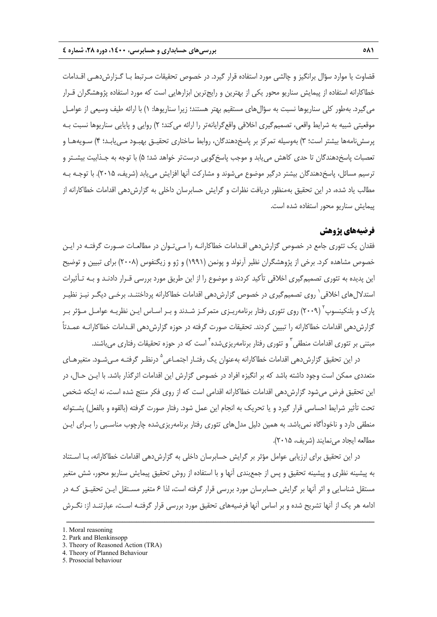قضاوت يا موارد سؤال برانگيز و چالشي مورد استفاده قرار گيرد. در خصوص تحقيقات مـرتبط بـا گـزارشدهـي اقـدامات خطاكارانه استفاده از پيمايش سناريو محور يكي از بهترين و رايجترين ابزارهايي است كه مورد استفاده پژوهشگران قـرار ميگيرد. بهطور كلي سناريوها نسبت به سؤالهاي مستقيم بهتر هستند؛ زيرا سناريوها: 1) با ارائه طيف وسيعي از عوامـل موقعيتي شبيه به شرايط واقعي، تصميمگيري اخلاقي واقعگرايانهتر را ارائه ميكند؛ 2) روايي و پايايي سناريوها نسبت بـه پرسشنامهها بيشتر است؛ 3) بهوسيله تمركز بر پاسخدهندگان، روابط ساختاري تحقيـق بهبـود مـييابـد؛ 4) سـويههـا و تعصبات پاسخدهندگان تا حدي كاهش مييابد و موجب پاسخگويي درستتر خواهد شد؛ 5) با توجه به جـذابيت بيشـتر و ترسيم مسائل، پاسخدهندگان بيشتر درگير موضوع ميشوند و مشاركت آنها افزايش مييابد (شريف، 2015). با توجـه بـه مطالب ياد شده، در اين تحقيق بهمنظور دريافت نظرات و گرايش حسابرسان داخلي به گزارشدهي اقدامات خطاكارانه از پيمايش سناريو محور استفاده شده است.

# **فرضيههاي پژوهش**

فقدان يك تئوري جامع در خصوص گزارشدهي اقـدامات خطاكارانـه را مـيتـوان در مطالعـات صـورت گرفتـه در ايـن خصوص مشاهده كرد. برخي از پژوهشگران نظير آرنولد و پونمن (1991) و ژو و زيگنفوس (2008) براي تبيين و توضيح اين پديده به تئوري تصميمگيري اخلاقي تأكيد كردند و موضوع را از اين طريق مورد بررسي قـرار دادنـد و بـه تـأثيرات استدلال هاي اخلاقي ' روي تصميم گيري در خصوص گزارش دهي اقدامات خطاكارانه پرداختنـد. برخـي ديگـر نيـز نظيـر پارک و بلنکینسوپ<sup>۲</sup> (۲۰۰۹) روی تئوری رفتار برنامهریـزی متمرکـز شـدند و بـر اسـاس ایـن نظریـه عوامـل مـؤثر بـر گزارش دهي اقدامات خطاكارانه را تبيين كردند. تحقيقات صورت گرفته در حوزه گزارش دهي اقـدامات خطاكارانـه عمـدتاً مبتنی بر تئوری اقدامات منطقی <sup>۳</sup> و تئوری رفتار برنامهریزیشده <sup>۴</sup> است که در حوزه تحقیقات رفتاری میباشند.

در اين تحقيق گزارش دهي اقدامات خطاكارانه بهعنوان يک رفتـار اجتمـاعي <sup>0</sup> درنظـر گرفتـه مـي شـود. متغيرهـاي متعددي ممكن است وجود داشته باشد كه بر انگيزه افراد در خصوص گزارش اين اقدامات اثرگذار باشد. با ايـن حـال، در اين تحقيق فرض مي شود گزارش دهي اقدامات خطاكارانه اقدامي است كه از روي فكر منتج شده است، نه اينكه شخص تحت تأثير شرايط احساسي قرار گيرد و يا تحريك به انجام اين عمل شود. رفتار صورت گرفته (بالقوه و بالفعل) پشـتوانه منطقي دارد و ناخودآگاه نميباشد. به همين دليل مدلهاي تئوري رفتار برنامهريزيشده چارچوب مناسـبي را بـراي ايـن مطالعه ايجاد مينمايند (شريف، 2015).

در اين تحقيق براي ارزيابي عوامل مؤثر بر گرايش حسابرسان داخلي به گزارشدهي اقدامات خطاكارانه، بـا اسـتناد به پيشينه نظري و پيشينه تحقيق و پس از جمعبندي آنها و با استفاده از روش تحقيق پيمايش سناريو محور، شش متغير مستقل شناسايي و اثر آنها بر گرايش حسابرسان مورد بررسي قرار گرفته است، لذا 6 متغير مسـتقل ايـن تحقيـق كـه در ادامه هر يك از آنها تشريح شده و بر اساس آنها فرضيههاي تحقيق مورد بررسي قرار گرفتـه اسـت، عبارتنـد از: نگـرش

<sup>1.</sup> Moral reasoning

<sup>2.</sup> Park and Blenkinsopp

<sup>3.</sup> Theory of Reasoned Action (TRA)

<sup>4.</sup> Theory of Planned Behaviour

<sup>5.</sup> Prosocial behaviour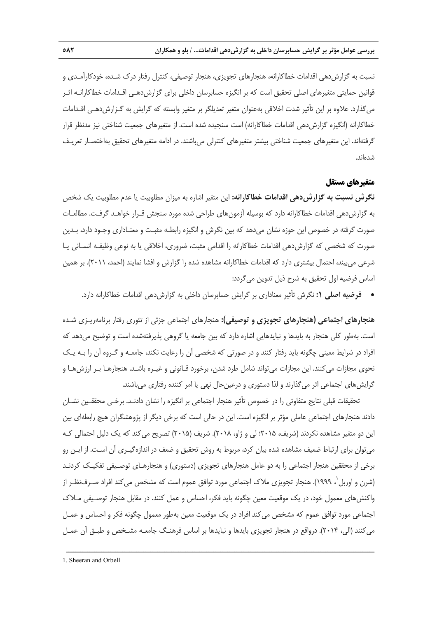نسبت به گزارشدهي اقدامات خطاكارانه، هنجارهاي تجويزي، هنجار توصيفي، كنترل رفتار درك شـده، خودكارآمـدي و قوانين حمايتي متغيرهاي اصلي تحقيق است كه بر انگيزه حسابرسان داخلي براي گزارشدهـي اقـدامات خطاكارانـه اثـر ميگذارد. علاوه بر اين تأثير شدت اخلاقي بهعنوان متغير تعديلگر بر متغير وابسته كه گرايش به گـزارشدهـي اقـدامات خطاكارانه (انگيزه گزارش دهي اقدامات خطاكارانه) است سنجيده شده است. از متغيرهاي جمعيت شناختي نيز مدنظر قرار گرفتهاند. اين متغيرهاي جمعيت شناختي بيشتر متغيرهاي كنترلي ميباشند. در ادامه متغيرهاي تحقيق بهاختصـار تعريـف شدهاند.

# **متغيرهاي مستقل**

**نگرش نسبت به گزارشدهي اقدامات خطاكارانه:** اين متغير اشاره به ميزان مطلوبيت يا عدم مطلوبيت يك شخص به گزارشدهي اقدامات خطاكارانه دارد كه بوسيله آزمونهاي طراحي شده مورد سنجش قـرار خواهـد گرفـت. مطالعـات صورت گرفته در خصوص اين حوزه نشان ميدهد كه بين نگرش و انگيزه رابطـه مثبـت و معنـاداري وجـود دارد، بـدين صورت كه شخصي كه گزارشدهي اقدامات خطاكارانه را اقدامي مثبت، ضروري، اخلاقي يا به نوعي وظيفـه انسـاني يـا شرعي ميبيند، احتمال بيشتري دارد كه اقدامات خطاكارانه مشاهده شده را گزارش و افشا نمايند (احمد، 2011). بر همين اساس فرضيه اول تحقيق به شرح ذيل تدوين ميگردد:

**هنجارهاي اجتماعي (هنجارهاي تجويزي و توصيفي):** هنجارهاي اجتماعي جزئي از تئوري رفتار برنامهريـزي شـده است. بهطور كلي هنجار به بايدها و نبايدهايي اشاره دارد كه بين جامعه يا گروهي پذيرفتهشده است و توضيح ميدهد كه افراد در شرايط معيني چگونه بايد رفتار كنند و در صورتي كه شخصي آن را رعايت نكند، جامعـه و گـروه آن را بـه يـك نحوي مجازات ميكنند. اين مجازات ميتواند شامل طرد شدن، برخورد قـانوني و غيـره باشـد. هنجارهـا بـر ارزشهـا و گرايشهاي اجتماعي اثر ميگذارند و لذا دستوري و درعينحال نهي يا امر كننده رفتاري ميباشند.

تحقيقات قبلي نتايج متفاوتي را در خصوص تأثير هنجار اجتماعي بر انگيزه را نشان دادنـد. برخـي محققـين نشـان دادند هنجارهاي اجتماعي عاملي مؤثر بر انگيزه است. اين در حالي است كه برخي ديگر از پژوهشگران هيچ رابطهاي بين اين دو متغير مشاهده نكردند (شريف، 2015؛ لي و ژاو، 2018). شريف (2015) تصريح ميكند كه يك دليل احتمالي كـه ميتوان براي ارتباط ضعيف مشاهده شده بيان كرد، مربوط به روش تحقيق و ضعف در اندازهگيـري آن اسـت. از ايـن رو برخي از محققين هنجار اجتماعي را به دو عامل هنجارهاي تجويزي (دستوري) و هنجارهـاي توصـيفي تفكيـك كردنـد (شرن و اوربل`، ۱۹۹۹). هنجار تجويزي ملاک اجتماعي مورد توافق عموم است که مشخص مي *ک*ند افراد صـرف<code>نظـر از</code> واكنشهاي معمول خود، در يك موقعيت معين چگونه بايد فكر، احساس و عمل كنند. در مقابل هنجار توصـيفي مـلاك اجتماعي مورد توافق عموم كه مشخص ميكند افراد در يك موقعيت معين بهطور معمول چگونه فكر و احساس و عمـل ميكنند (الي، 2014). درواقع در هنجار تجويزي بايدها و نبايدها بر اساس فرهنـگ جامعـه مشـخص و طبـق آن عمـل

**فرضيه اصلي :1** نگرش تأثير معناداري بر گرايش حسابرسان داخلي به گزارشدهي اقدامات خطاكارانه دارد.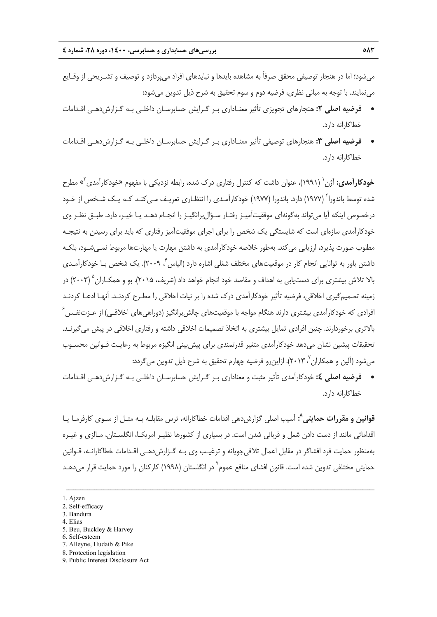ميشود؛ اما در هنجار توصيفي محقق صرفاً به مشاهده بايدها و نبايدهاي افراد ميپردازد و توصيف و تشـريحي از وقـايع مينمايند. با توجه به مباني نظري، فرضيه دوم و سوم تحقيق به شرح ذيل تدوين ميشود:

- **فرضيه اصلي :2** هنجارهاي تجويزي تأثير معنـاداري بـر گـرايش حسابرسـان داخلـي بـه گـزارشدهـي اقـدامات خطاكارانه دارد.
- **فرضيه اصلي :3** هنجارهاي توصيفي تأثير معنـاداري بـر گـرايش حسابرسـان داخلـي بـه گـزارشدهـي اقـدامات خطاكارانه دارد.

**خودكارآمدي:** آژن <sup>(</sup> (١٩٩١)، عنوان داشت كه كنترل رفتارى درك شده، رابطه نزديكي با مفهوم «خودكارآمدى<sup>٢</sup>» مطرح شده توسط باندورا ّ (۱۹۷۷) دارد. باندورا (۱۹۷۷) خودكارآمـدي را انتظـاري تعريـف مـي كنـد كـه يـك شـخص از خـود درخصوص اينكه آيا ميتواند بهگونهاي موفقيتآميـز رفتـار سـؤالبرانگيـز را انجـام دهـد يـا خيـر، دارد. طبـق نظـر وي خودكارآمدي سازهاي است كه شايستگي يك شخص را براي اجراي موفقيتآميز رفتاري كه بايد براي رسيدن به نتيجـه مطلوب صورت پذيرد، ارزيابي ميكند. بهطور خلاصه خودكارآمدي به داشتن مهارت يا مهارتها مربوط نمـيشـود، بلكـه داشتن باور به توانايي انجام كار در موقعيتهاي مختلف شغلي اشاره دارد (الياس ً، ٢٠٠٩). يک شخص بـا خودكارآمـدي بالا تلاش بيشتري براي دستيابي به اهداف و مقاصد خود انجام خواهد داد (شريف، ۲۰۱۵). بو و هم*كـا*ران ۲۰۰۳) در زمينه تصميمگيري اخلاقي، فرضيه تأثير خودكارآمدي درك شده را بر نيات اخلاقي را مطـرح كردنـد. آنهـا ادعـا كردنـد  $^{\circ}$  فرادی که خودکارآمدی بیشتری دارند هنگام مواجه با موقعیتهای چالش برانگیز (دوراهیهای اخلاقـی) از عـزتنفـس بالاتري برخوردارند. چنين افرادي تمايل بيشتري به اتخاذ تصميمات اخلاقي داشته و رفتاري اخلاقي در پيش ميگيرنـد. تحقيقات پيشين نشان ميدهد خودكارآمدي متغير قدرتمندي براي پيشبيني انگيزه مربوط به رعايـت قـوانين محسـوب میشود (آلین و همکاران '، ۲۰۱۳). ازاینرو فرضیه چهارم تحقیق به شرح ذیل تدوین می *گ*ردد:

 **فرضيه اصلي :4** خودكارآمدي تأثير مثبت و معناداري بـر گـرايش حسابرسـان داخلـي بـه گـزارشدهـي اقـدامات خطاكارانه دارد.

**:** آسيب اصلي گزارشدهي اقدامات خطاكارانه، ترس مقابلـه بـه مثـل از سـوي كارفرمـا يـا **<sup>8</sup> قوانين و مقررات حمايتي** اقداماتي مانند از دست دادن شغل و قرباني شدن است. در بسياري از كشورها نظيـر امريكـا، انگلسـتان، مـالزي و غيـره بهمنظور حمايت فرد افشاگر در مقابل اعمال تلافيجويانه و ترغيـب وي بـه گـزارشدهـي اقـدامات خطاكارانـه، قـوانين حمايتى مختلفى تدوين شده است. قانون افشاى منافع عموم<sup>ه</sup> در انگلستان (١٩٩٨) كاركنان را مورد حمايت قرار مىدهـد

- 3. Bandura
- 4. Elias
- 5. Beu, Buckley & Harvey
- 6. Self-esteem
- 7. Alleyne, Hudaib & Pike
- 8. Protection legislation
- 9. Public Interest Disclosure Act

<sup>1.</sup> Ajzen

<sup>2.</sup> Self-efficacy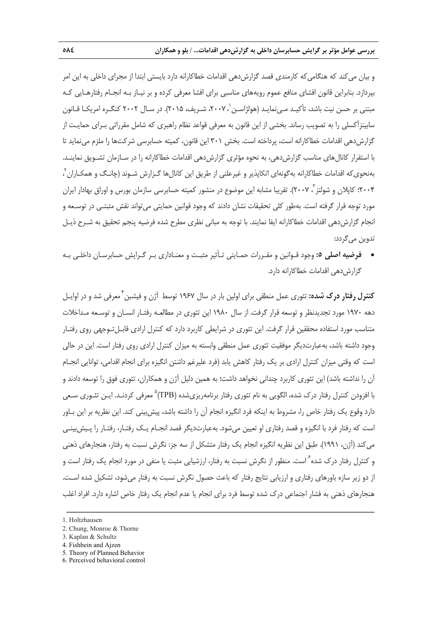و بيان مي كند كه هنگامي كه كارمندي قصد گزارش دهي اقدامات خطاكارانه دارد بايستي ابتدا از مجراي داخلي به اين امر بپردازد. بنابراين قانون افشاي منافع عموم رويههاي مناسبي براي افشا معرفي كرده و بر نيـاز بـه انجـام رفتارهـايي كـه مبتنی بر حسن نیت باشد، تأکیـد مـیiمایـد (هولژاسـن '، ۲۰۰۷، شـریف، ۲۰۱۵). در سـال ۲۰۰۲ کنگـره امریکـا قـانون سابينزآكسلي را به تصويب رساند. بخشي از اين قانون به معرفي قواعد نظام راهبري كه شامل مقرراتي بـراي حمايـت از گزارش دهي اقدامات خطاكارانه است، پرداخته است. بخش ٣٠١ اين قانون، كميته حسابرسي شركتها را ملزم مي نمايد تا با استقرار كانالهاي مناسب گزارشدهي، به نحوه مؤثري گزارشدهي اقدامات خطاكارانه را در سـازمان تشـويق نماينـد. بهنحويكه اقدامات خطاكارانه بهگونهاي اتكاپذير و غيرعلني از طريق اين كانالها گـزارش شـوند (چانـگ و همكـاران 2 ، ۲۰۰۴؛ كاپلان و شولتز `، ۲۰۰۷). تقريبا مشابه اين موضوع در منشور كميته حسابرسي سازمان بورس و اوراق بهادار ايران مورد توجه قرار گرفته است. بهطور كلي تحقيقات نشان دادند كه وجود قوانين حمايتي ميتواند نقش مثبتـي در توسـعه و انجام گزارشدهي اقدامات خطاكارانه ايفا نمايند. با توجه به مباني نظري مطرح شده فرضيه پنجم تحقيق به شـرح ذيـل تدوين ميگردد:

 **فرضيه اصلي :5** وجود قـوانين و مقـررات حمـايتي تـأثير مثبـت و معنـاداري بـر گـرايش حسابرسـان داخلـي بـه گزارش دهي اقدامات خطاكارانه دارد.

معرفي شد و در اوايـل <sup>4</sup> **كنترل رفتار درك شده:** تئوري عمل منطقي براي اولين بار در سال 1967 توسط آژن و فيشبن دهه 1970 مورد تجديدنظر و توسعه قرار گرفت. از سال 1980 اين تئوري در مطالعـه رفتـار انسـان و توسـعه مـداخلات متناسب مورد استفاده محققين قرار گرفت. اين تئوري در شرايطي كاربرد دارد كه كنترل ارادي قابـلتـوجهي روي رفتـار وجود داشته باشد، بهعبارتديگر موفقيت تئوري عمل منطقي وابسته به ميزان كنترل ارادي روي رفتار است. اين در حالي است كه وقتي ميزان كنترل ارادي بر يك رفتار كاهش يابد (فرد عليرغم داشتن انگيزه براي انجام اقدامي، توانايي انجـام آن را نداشته باشد) اين تئوري كاربرد چنداني نخواهد داشت؛ به همين دليل آژن و همكاران، تئوري فوق را توسعه دادند و با افزودن كنترل رفتار درك شده، الگويي به نام تئوري رفتار برنامهريزيشده (TPB)<sup>۵</sup> معرفي كردنـد. ايـن تئـوري سـعي دارد وقوع يك رفتار خاص را، مشروط به اينكه فرد انگيزه انجام آن را داشته باشد، پيشبيني كند. اين نظريه بر اين بـاور است كه رفتار فرد با انگيزه و قصد رفتاري او تعيين ميشود. بهعبارتديگر قصد انجـام يـك رفتـار، رفتـار را پـيشبينـي ميكند (آژن، 1991). طبق اين نظريه انگيزه انجام يك رفتار متشكل از سه جز: نگرش نسبت به رفتار، هنجارهاي ذهني و كنترل رفتار درک شده ٔ است. منظور از نگرش نسبت به رفتار، ارزشیابی مثبت یا منفی در مورد انجام یک رفتار است و از دو زير سازه باورهاي رفتاري و ارزيابي نتايج رفتار كه باعث حصول نگرش نسبت به رفتار ميشود، تشكيل شده اسـت. هنجارهاي ذهني به فشار اجتماعي درك شده توسط فرد براي انجام يا عدم انجام يك رفتار خاص اشاره دارد. افراد اغلب

<sup>1.</sup> Holtzhausen

<sup>2.</sup> Chung, Monroe & Thorne

<sup>3.</sup> Kaplan & Schultz

<sup>4.</sup> Fishbein and Ajzen

<sup>5.</sup> Theory of Planned Behavior

<sup>6.</sup> Perceived behavioral control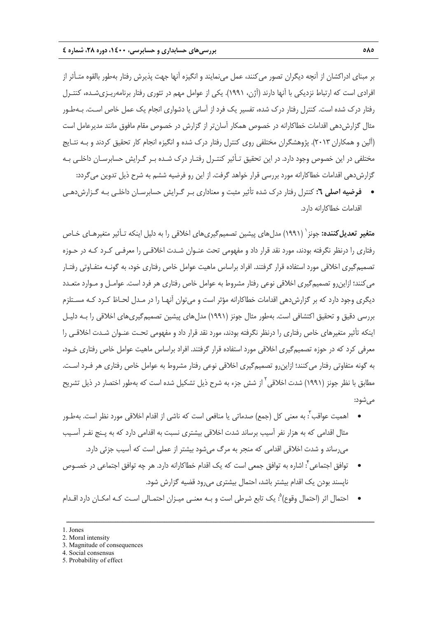بر مبناي ادراكشان از آنچه ديگران تصور ميكنند، عمل مينمايند و انگيزه آنها جهت پذيرش رفتار بهطور بالقوه متـأثر از افرادي است كه ارتباط نزديكي با آنها دارند (آژن، 1991). يكي از عوامل مهم در تئوري رفتار برنامهريـزيشـده، كنتـرل رفتار درك شده است. كنترل رفتار درك شده، تفسير يك فرد از آساني يا دشواري انجام يك عمل خاص اسـت. بـهطـور مثال گزارشدهي اقدامات خطاكارانه در خصوص همكار آسانتر از گزارش در خصوص مقام مافوق مانند مديرعامل است (آلين و همكاران 2013). پژوهشگران مختلفي روي كنترل رفتار درك شده و انگيزه انجام كار تحقيق كردند و بـه نتـايج مختلفي در اين خصوص وجود دارد. در اين تحقيق تـأثير كنتـرل رفتـار درك شـده بـر گـرايش حسابرسـان داخلـي بـه گزارشدهي اقدامات خطاكارانه مورد بررسي قرار خواهد گرفت. از اين رو فرضيه ششم به شرح ذيل تدوين ميگردد:

 **فرضيه اصلي :6** كنترل رفتار درك شده تأثير مثبت و معناداري بـر گـرايش حسابرسـان داخلـي بـه گـزارشدهـي اقدامات خطاكارانه دارد.

(1991) مدلهاي پيشين تصميمگيريهاي اخلاقي را به دليل اينكه تـأثير متغيرهـاي خـاص <sup>1</sup> **متغير تعديلكننده:** جونز رفتاري را درنظر نگرفته بودند، مورد نقد قرار داد و مفهومي تحت عنـوان شـدت اخلاقـي را معرفـي كـرد كـه در حـوزه تصميمگيري اخلاقي مورد استفاده قرار گرفتند. افراد براساس ماهيت عوامل خاص رفتاري خود، به گونـه متفـاوتي رفتـار ميكنند؛ ازاينرو تصميمگيري اخلاقي نوعي رفتار مشروط به عوامل خاص رفتاري هر فرد است. عوامـل و مـوارد متعـدد ديگري وجود دارد كه بر گزارشدهي اقدامات خطاكارانه مؤثر است و ميتوان آنهـا را در مـدل لحـاظ كـرد كـه مسـتلزم بررسي دقيق و تحقيق اكتشافي است. بهطور مثال جونز (1991) مدلهاي پيشين تصميمگيريهاي اخلاقي را بـه دليـل اينكه تأثير متغيرهاي خاص رفتاري را درنظر نگرفته بودند، مورد نقد قرار داد و مفهومي تحـت عنـوان شـدت اخلاقـي را معرفي كرد كه در حوزه تصميمگيري اخلاقي مورد استفاده قرار گرفتند. افراد براساس ماهيت عوامل خاص رفتاري خـود، به گونه متفاوتي رفتار ميكنند؛ ازاينرو تصميمگيري اخلاقي نوعي رفتار مشروط به عوامل خاص رفتاري هر فـرد اسـت. مطابق با نظر جونز (١٩٩١) شدت اخلاقى<sup>٢</sup> از شش جزء به شرح ذيل تشكيل شده است كه بهطور اختصار در ذيل تشريح ميشود:

- اهميت عواقب ٰ: به معني كل (جمع) صدماتي يا منافعي است كه ناشي از اقدام اخلاقي مورد نظر است. بهطـور مثال اقدامي كه به هزار نفر آسيب برساند شدت اخلاقي بيشتري نسبت به اقدامي دارد كه به پـنج نفـر آسـيب ميرساند و شدت اخلاقي اقدامي كه منجر به مرگ ميشود بيشتر از عملي است كه آسيب جزئي دارد.
- : اشاره به توافق جمعي است كه يك اقدام خطاكارانه دارد. هر چه توافق اجتماعي در خصـوص <sup>4</sup> توافق اجتماعي ناپسند بودن يك اقدام بيشتر باشد، احتمال بيشتري ميرود قضيه گزارش شود.
- احتمال اثر (احتمال وقوع) ْ: يك تابع شرطي است و بـه معنـي ميـزان احتمـالي اسـت كـه امكـان دارد اقـدام

ــــــــــــــــــــــــــــــــــــــــــــــــــــــــــــــــــــــــــــــــــــــــــــــــــــــــــــــــــــــــــــــــــــ

3. Magnitude of consequences

<sup>1.</sup> Jones

<sup>2.</sup> Moral intensity

<sup>4.</sup> Social consensus

<sup>5.</sup> Probability of effect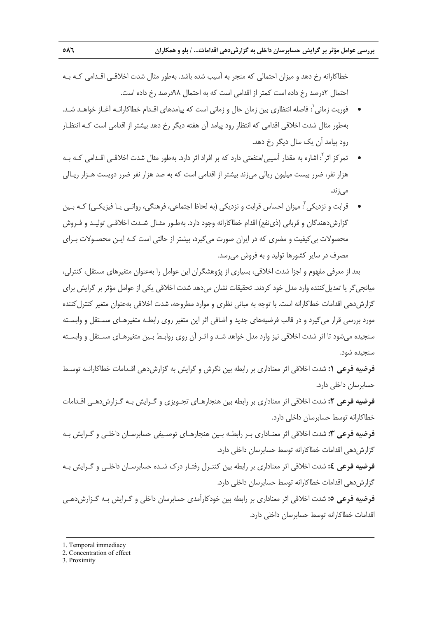خطاكارانه رخ دهد و ميزان احتمالي كه منجر به آسيب شده باشد. بهطور مثال شدت اخلاقـي اقـدامي كـه بـه احتمال 2درصد رخ داده است كمتر از اقدامي است كه به احتمال 98درصد رخ داده است.

- فوريت زماني<sup>'</sup>: فاصله انتظاري بين زمان حال و زماني است كه پيامدهاي اقـدام خطاكارانـه آغـاز خواهـد شـد. بهطور مثال شدت اخلاقي اقدامي كه انتظار رود پيامد آن هفته ديگر رخ دهد بيشتر از اقدامي است كـه انتظـار رود پيامد آن يك سال ديگر رخ دهد.
- 2 تمركز اثر : اشاره به مقدار آسيبي/منفعتي دارد كه بر افراد اثر دارد. بهطور مثال شدت اخلاقـي اقـدامي كـه بـه هزار نفر، ضرر بيست ميليون ريالي ميزند بيشتر از اقدامي است كه به صد هزار نفر ضرر دويست هـزار ريـالي ميزند.
- قرابت و نزديكي<sup>"</sup>: ميزان احساس قرابت و نزديكي (به لحاظ اجتماعي، فرهنگي، روانـي يـا فيزيكـي) كـه بـين گزارشدهندگان و قرباني (ذينفع) اقدام خطاكارانه وجود دارد. بهطـور مثـال شـدت اخلاقـي توليـد و فـروش محصولات بيكيفيت و مضري كه در ايران صورت ميگيرد، بيشتر از حالتي است كـه ايـن محصـولات بـراي مصرف در ساير كشورها توليد و به فروش ميرسد.

بعد از معرفي مفهوم و اجزا شدت اخلاقي، بسياري از پژوهشگران اين عوامل را بهعنوان متغيرهاي مستقل، كنترلي، ميانجي گر يا تعديل كننده وارد مدل خود كردند. تحقيقات نشان مي دهد شدت اخلاقي يكي از عوامل مؤثر بر گرايش براي گزارش دهي اقدامات خطاكارانه است. با توجه به مباني نظري و موارد مطروحه، شدت اخلاقي بهعنوان متغير كنترل كننده مورد بررسي قرار ميگيرد و در قالب فرضيههاي جديد و اضافي اثر اين متغير روي رابطـه متغيرهـاي مسـتقل و وابسـته سنجيده ميشود تا اثر شدت اخلاقي نيز وارد مدل خواهد شـد و اثـر آن روي روابـط بـين متغيرهـاي مسـتقل و وابسـته سنجيده شود.

**فرضيه فرعي :1** شدت اخلاقي اثر معناداري بر رابطه بين نگرش و گرايش به گزارشدهي اقـدامات خطاكارانـه توسـط حسابرسان داخلي دارد.

**فرضيه فرعي :2** شدت اخلاقي اثر معناداري بر رابطه بين هنجارهـاي تجـويزي و گـرايش بـه گـزارشدهـي اقـدامات خطاكارانه توسط حسابرسان داخلي دارد.

**فرضيه فرعي :3** شدت اخلاقي اثر معنـاداري بـر رابطـه بـين هنجارهـاي توصـيفي حسابرسـان داخلـي و گـرايش بـه گزارش دهي اقدامات خطاكارانه توسط حسابرسان داخلي دارد.

**فرضيه فرعي :4** شدت اخلاقي اثر معناداري بر رابطه بين كنتـرل رفتـار درك شـده حسابرسـان داخلـي و گـرايش بـه گزارشدهي اقدامات خطاكارانه توسط حسابرسان داخلي دارد.

**فرضيه فرعي :5** شدت اخلاقي اثر معناداري بر رابطه بين خودكارآمدي حسابرسان داخلي و گـرايش بـه گـزارشدهـي اقدامات خطاكارانه توسط حسابرسان داخلي دارد.

ــــــــــــــــــــــــــــــــــــــــــــــــــــــــــــــــــــــــــــــــــــــــــــــــــــــــــــــــــــــــــــــــــــ

1. Temporal immediacy

3. Proximity

<sup>2.</sup> Concentration of effect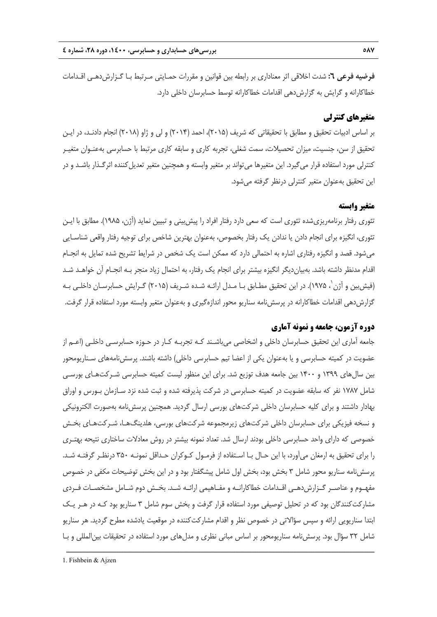**فرضيه فرعي :6** شدت اخلاقي اثر معناداري بر رابطه بين قوانين و مقررات حمـايتي مـرتبط بـا گـزارشدهـي اقـدامات خطاكارانه و گرايش به گزارش دهي اقدامات خطاكارانه توسط حسابرسان داخلي دارد.

# **متغيرهاي كنترلي**

بر اساس ادبيات تحقيق و مطابق با تحقيقاتي كه شريف (2015)، احمد (2014) و لي و ژاو (2018) انجام دادنـد، در ايـن تحقيق از سن، جنسيت، ميزان تحصيلات، سمت شغلي، تجربه كاري و سابقه كاري مرتبط با حسابرسي بهعنـوان متغيـر كنترلي مورد استفاده قرار ميگيرد. اين متغيرها ميتواند بر متغير وابسته و همچنين متغير تعديلكننده اثرگـذار باشـد و در اين تحقيق بهعنوان متغير كنترلي درنظر گرفته ميشود.

## **متغير وابسته**

تئوري رفتار برنامهريزيشده تئوري است كه سعي دارد رفتار افراد را پيشبيني و تبيين نمايد (آژن، 1985). مطابق با ايـن تئوري، انگيزه براي انجام دادن يا ندادن يك رفتار بخصوص، بهعنوان بهترين شاخص براي توجيه رفتار واقعي شناسـايي ميشود. قصد و انگيزه رفتاري اشاره به احتمالي دارد كه ممكن است يك شخص در شرايط تشريح شده تمايل به انجـام اقدام مدنظر داشته باشد. بهبيانديگر انگيزه بيشتر براي انجام يك رفتار، به احتمال زياد منجر بـه انجـام آن خواهـد شـد 1 (فيشبين و آژن ، 1975). در اين تحقيق مطـابق بـا مـدل ارائـه شـده شـريف (2015) گـرايش حسابرسـان داخلـي بـه گزارشدهي اقدامات خطاكارانه در پرسشنامه سناريو محور اندازهگيري و بهعنوان متغير وابسته مورد استفاده قرار گرفت.

# **دوره آزمون، جامعه و نمونه آماري**

جامعه آماري اين تحقيق حسابرسان داخلي و اشخاصي ميباشـند كـه تجربـه كـار در حـوزه حسابرسـي داخلـي (اعـم از عضويت در كميته حسابرسي و يا بهعنوان يكي از اعضا تيم حسابرسي داخلي) داشته باشند. پرسشنامههاي سـناريومحور بين سالهاي 1399 و 1400 بين جامعه هدف توزيع شد. براي اين منظور ليست كميته حسابرسي شـركتهـاي بورسـي شامل 1787 نفر كه سابقه عضويت در كميته حسابرسي در شركت پذيرفته شده و ثبت شده نزد سـازمان بـورس و اوراق بهادار داشتند و براي كليه حسابرسان داخلي شركتهاي بورسي ارسال گرديد. همچنين پرسشنامه بهصورت الكترونيكي و نسخه فيزيكي براي حسابرسان داخلي شركتهاي زيرمجموعه شركتهاي بورسي، هلدينگهـا، شـركتهـاي بخـش خصوصي كه داراي واحد حسابرسي داخلي بودند ارسال شد. تعداد نمونه بيشتر در روش معادلات ساختاري نتيحه بهتـري را براي تحقيق به ارمغان ميآورد، با اين حـال بـا اسـتفاده از فرمـول كـوكران حـداقل نمونـه 350 درنظـر گرفتـه شـد. پرسشنامه سناريو محور شامل 3 بخش بود، بخش اول شامل پيشگفتار بود و در اين بخش توضيحات مكفي در خصوص مفهـوم و عناصــر گــزارشدهــي اقــدامات خطاكارانــه و مفـاهيمي ارائــه شــد. بخــش دوم شــامل مشخصــات فــردي مشاركت كنندگان بود كه در تحليل توصيفي مورد استفاده قرار گرفت و بخش سوم شامل ۳ سناريو بود كـه در هـر يـك ابتدا سناريويي ارائه و سپس سؤالاتي در خصوص نظر و اقدام مشاركتكننده در موقعيت يادشده مطرح گرديد. هر سناريو شامل 32 سؤال بود. پرسشنامه سناريومحور بر اساس مباني نظري و مدلهاي مورد استفاده در تحقيقات بينالمللي و بـا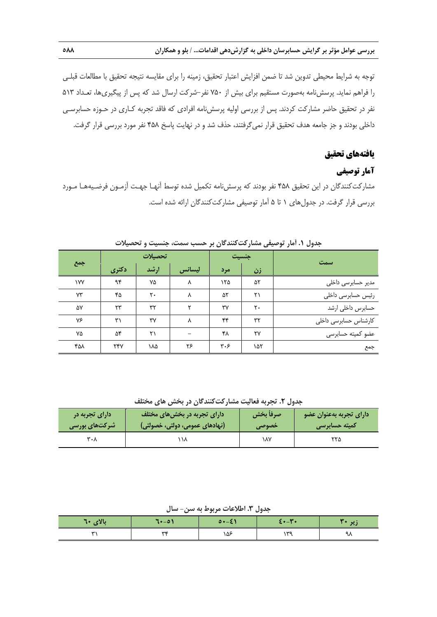توجه به شرايط محيطي تدوين شد تا ضمن افزايش اعتبار تحقيق، زمينه را براي مقايسه نتيجه تحقيق با مطالعات قبلـي را فراهم نمايد. پرسشنامه بهصورت مستقيم براي بيش از 750 نفر-شركت ارسال شد كه پس از پيگيريها، تعـداد 513 نفر در تحقيق حاضر مشاركت كردند. پس از بررسي اوليه پرسشنامه افرادي كه فاقد تجربه كـاري در حـوزه حسابرسـي داخلي بودند و جز جامعه هدف تحقيق قرار نميگرفتند، حذف شد و در نهايت پاسخ 458 نفر مورد بررسي قرار گرفت.

## **يافتههاي تحقيق**

# **آمار توصيفي**

مشاركتكنندگان در اين تحقيق 458 نفر بودند كه پرسشنامه تكميل شده توسط آنهـا جهـت آزمـون فرضـيههـا مـورد بررسي قرار گرفت. در جدولهاي 1 تا 5 آمار توصيفي مشاركتكنندگان ارائه شده است.

| جمع |       | تحصيلات |        |     | جنسيت | سمت                   |
|-----|-------|---------|--------|-----|-------|-----------------------|
|     | دکتری | ارشد    | ليسانس | مرد | زن    |                       |
| ١٧٧ | ۹۴    | ٧۵      | ٨      | ۱۲۵ | ۵۲    | مدیر حسابرسی داخلی    |
| ٧٣  | ۴۵    | ٢٠      | ٨      | ۵۲  | ۲۱    | رئیس حسابرسی داخلی    |
| ۵۷  | ۲۳    | ٣٢      | ۳      | ٣٧  | ٢٠    | حسابرس داخلي ارشد     |
| ٧۶  | ۳۱    | ٣٧      | ٨      | ۴۴  | ٣٢    | کارشناس حسابرسی داخلی |
| ٧۵  | ۵۴    | ۲۱      | -      | ۴۸  | ٢٧    | عضو کمیته حسابرسی     |
| ۴۵۸ | ٢۴٧   | ١٨۵     | ۲۶     | ۳۰۶ | ۱۵۲   | جمع                   |

#### **جدول .1 آمار توصيفي مشاركتكنندگان بر حسب سمت، جنسيت و تحصيلات**

**جدول .2 تجربه فعاليت مشاركتكنندگان در بخش هاي مختلف**

| ا دارای تجربه در | /دارای تجربه در بخش های مختلف  | صرفأ بخش | ً دارای تجربه بهعنوان عضو |  |
|------------------|--------------------------------|----------|---------------------------|--|
| شرکتهای بورسی    | (نهادهای عمومی، دولتی، خصولتی) | خصوصى    | کمیته حسابرسی             |  |
| ۳۰۸              | ۱۱۸                            | ۱۸۷      |                           |  |

**جدول .3 اطلاعات مربوط به سن- سال**

|          |          |                      | - - -                        |        |
|----------|----------|----------------------|------------------------------|--------|
| بالای ٦٠ | $7 - 01$ | $0 \rightarrow -\xi$ | $E \cdot - \mathbf{Y} \cdot$ | زیر ۲۰ |
| ، سە     | WAC      | ۱۵۶                  | ەس ،                         | ᆪ      |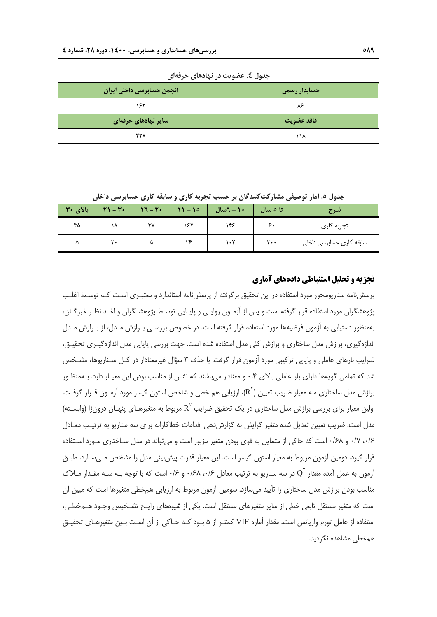| _ _ _ _ _ _               | - - -        |
|---------------------------|--------------|
| انجمن حسابرسی داخلی ایران | حسابدار رسمی |
| ۱۶۲                       | ۸۶           |
| سایر نهادهای حرفهای       | فاقد عضويت   |
| <b>٢٢٨</b>                | ۱۱۸          |

**جدول .4 عضويت در نهادهاي حرفهاي** 

**جدول .5 آمار توصيفي مشاركتكنندگان بر حسب تجربه كاري و سابقه كاري حسابرسي داخلي** 

| بالای ۳۰ | $\gamma = \gamma + \gamma$ | $17 - 14$ | $ 11 - 10$ | $+1 - 7$ سال | تا ہ سال       | تسرح                     |
|----------|----------------------------|-----------|------------|--------------|----------------|--------------------------|
| ۳۵       | ١٨                         | ٣٧        | ۱۶۲        | ۱۴۶          |                | تجربه کاری               |
| ۵        | ۲۰                         | ۵         | ۲۶         | ۱۰۲          | $\mathbf{r}$ . | سابقه کاری حسابرسی داخلی |

# **تجزيه و تحليل استنباطي دادههاي آماري**

پرسشنامه سناريومحور مورد استفاده در اين تحقيق برگرفته از پرسشنامه استاندارد و معتبـري اسـت كـه توسـط اغلـب پژوهشگران مورد استفاده قرار گرفته است و پس از آزمـون روايـي و پايـايي توسـط پژوهشـگران و اخـذ نظـر خبرگـان، بهمنظور دستيابي به آزمون فرضيهها مورد استفاده قرار گرفته است. در خصوص بررسـي بـرازش مـدل، از بـرازش مـدل اندازهگيري، برازش مدل ساختاري و برازش كلي مدل استفاده شده است. جهت بررسي پايايي مدل اندازهگيـري تحقيـق، ضرايب بارهاي عاملي و پايايي تركيبي مورد آزمون قرار گرفت. با حذف 3 سؤال غيرمعنادار در كـل سـناريوها، مشـخص شد كه تمامي گويهها داراي بار عاملي بالاي 0.4 و معنادار ميباشند كه نشان از مناسب بودن اين معيـار دارد. بـهمنظـور برازش مدل ساختاري سه معيار ضريب تعيين  $(\mathrm{R}^{\mathrm{r}})$ ، ارزيابي هم خطي و شاخص استون گيسر مورد آزمـون قـرار گرفـت. اولين معيار براي بررسي برازش مدل ساختاري در يک تحقيق ضرايب R<sup>۲</sup> مربوط به متغيرهـاي پنهـان درونزا (وابسـته) مدل است. ضريب تعيين تعديل شده متغير گرايش به گزارشدهي اقدامات خطاكارانه براي سه سناريو به ترتيـب معـادل ،0/6 0/7 و 0/68 است كه حاكي از متمايل به قوي بودن متغير مزبور است و ميتواند در مدل سـاختاري مـورد اسـتفاده قرار گيرد. دومين آزمون مربوط به معيار استون گيسر است. اين معيار قدرت پيشبيني مدل را مشخص مـيسـازد. طبـق آزمون به عمل آمده مقدار  $\mathrm{Q}^\mathrm{v}$  در سه سناریو به ترتیب معادل ۰/۶۸ و ۰/۶۸ است که با توجه بـه سـه مقـدار مـلاک مناسب بودن برازش مدل ساختاري را تأييد ميسازد. سومين آزمون مربوط به ارزيابي همخطي متغيرها است كه مبين آن است كه متغير مستقل تابعي خطي از ساير متغيرهاي مستقل است. يكي از شيوههاي رايـج تشـخيص وجـود هـمخطـي، استفاده از عامل تورم واريانس است. مقدار آماره VIF كمتـر از 5 بـود كـه حـاكي از آن اسـت بـين متغيرهـاي تحقيـق همخطي مشاهده نگرديد.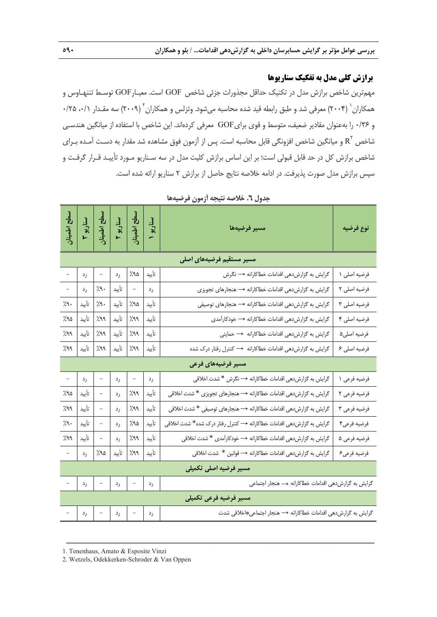# **برازش كلي مدل به تفكيك سناريوها**

مهمترين شاخص برازش مدل در تكنيك حداقل مجذورات جزئي شاخص GOF است. معيـارGOF توسـط تننهـاوس و همکاران` (۲۰۰۴) معرفي شد و طبق رابطه قيد شده محاسبه ميشود. وتزلس و همکاران آ  $(7\cdot\gamma)$  سه مقـدار ۰/۱، ۲۵/۰ و 0/36 را بهعنوان مقادير ضعيف، متوسط و قوي برايGOF معرفي كردهاند. اين شاخص با استفاده از ميانگين هندسـي شاخص  $\mathrm{R}^{^\mathrm{v}}$  و ميانگين شاخص افزونگي قابل محاسبه است. پس از آزمون فوق مشاهده شد مقدار به دسـت آمـده بـراي شاخص برازش كل در حد قابل قبولي است؛ بر اين اساس برازش كليت مدل در سه سـناريو مـورد تأييـد قـرار گرفـت و سپس برازش مدل صورت پذيرفت. در ادامه خلاصه نتايج حاصل از برازش 2 سناريو ارائه شده است.

| سطح اطمينان  |                                                                                  |                          |       | سناریو ۳<br>سل <u>اح اطمینان</u><br>سناریو ۱<br>سناریو ۱ |       | مسير فرضيهها                                                          | نوع فرضيه    |  |  |
|--------------|----------------------------------------------------------------------------------|--------------------------|-------|----------------------------------------------------------|-------|-----------------------------------------------------------------------|--------------|--|--|
|              | مسیر مستقیم فرضیههای اصلی                                                        |                          |       |                                                          |       |                                                                       |              |  |  |
|              | ر د                                                                              | $\overline{\phantom{m}}$ | رد    | ۵۹٪                                                      | تأييد | گرایش به گزارشدهی اقدامات خطاکارانه → نگرش                            | فرضيه اصلي ١ |  |  |
|              | رد                                                                               | $\gamma$                 | تأييد | $\equiv$                                                 | رد    | گرایش به گزارشدهی اقدامات خطاکارانه → هنجارهای تجویزی                 | فرضيه اصلي ٢ |  |  |
| ۰,۹٪         | تأييد                                                                            | $\gamma$                 | تأييد | 7.90                                                     | تأييد | گرایش به گزارشدهی اقدامات خطاکارانه → هنجارهای توصیفی                 | فرضيه اصلي ٣ |  |  |
| ۷۹۵٪         | تأييد                                                                            | 7.99                     | تأييد | 7.99                                                     | تأييد | گرایش به گزارشدهی اقدامات خطاکارانه → خودکارآمدی                      | فرضيه اصلي ۴ |  |  |
| 7٩٩٪         | تأييد                                                                            | 7.99                     | تأييد | 7.99                                                     | تأييد | گرایش به گزارشدهی اقدامات خطاکارانه $\rightarrow$ حمایتی              | فرضيه اصلي۵  |  |  |
| 7.99         | ا تأييد                                                                          | 7.99                     |       | ۹۹٪ تأیید                                                | تأييد | گرایش به گزارشدهی اقدامات خطاکارانه → کنترل رفتار درک شده             | فرضيه اصلي ۶ |  |  |
|              | مسیر فرضیههای فرعی                                                               |                          |       |                                                          |       |                                                                       |              |  |  |
|              | رد                                                                               |                          | رد    |                                                          | رد    | گرایش به گزارشدهی اقدامات خطاکارانه → نگرش * شدت اخلاقی               | فرضيه فرعي ١ |  |  |
| ۲۹۵          | تأييد                                                                            |                          | رد    | 7.99                                                     | تأييد | گرایش به گزارشدهی اقدامات خطاکارانه → هنجارهای تجویزی * شدت اخلاقی    | فرضيه فرعى ٢ |  |  |
| 7٩٩٪         | تأييد                                                                            | $\overline{\phantom{a}}$ | رد    | 7.99                                                     | تأييد | گرایش به گزارشدهی اقدامات خطاکارانه → هنجارهای توصیفی * شدت اخلاقی    | فرضيه فرعى ٣ |  |  |
| $\lambda$ ۹۰ | تأييد                                                                            |                          | رد    | 7.90                                                     | تأييد | گرایش به گزارشدهی اقدامات خطاکارانه → کنترل رفتار درک شده* شدت اخلاقی | فرضيه فرعى۴  |  |  |
| 799          | تأييد                                                                            | $\overline{\phantom{a}}$ | رد    | 7.99                                                     | تأييد | گرایش به گزارشدهی اقدامات خطاکارانه → خودکارآمدی * شدت اخلاقی         | فرضيه فرعي ۵ |  |  |
|              | رد                                                                               | ۲۹۵                      | تأييد | 7.99                                                     | تأييد | گرایش به گزارشدهی اقدامات خطاکارانه → قوانین * شدت اخلاقی             | فرضيه فرعىع  |  |  |
|              | مسیر فرضیه اصلی تکمیلی                                                           |                          |       |                                                          |       |                                                                       |              |  |  |
|              | گرایش به گزارش دهی اقدامات خطاکارانه → هنجار اجتماعی<br>رد<br>رد<br>رد           |                          |       |                                                          |       |                                                                       |              |  |  |
|              | مسير فرضيه فرعى تكميلى                                                           |                          |       |                                                          |       |                                                                       |              |  |  |
|              | گرایش به گزارشدهی اقدامات خطاکارانه → هنجار اجتماعی٭اخلاقی شدت<br>رد<br>رد<br>رد |                          |       |                                                          |       |                                                                       |              |  |  |

ــــــــــــــــــــــــــــــــــــــــــــــــــــــــــــــــــــــــــــــــــــــــــــــــــــــــــــــــــــــــــــــــــــ

**جدول .6 خلاصه نتيجه آزمون فرضيهها** 

1. Tenenhaus, Amato & Esposite Vinzi

2. Wetzels, Odekkerken-Schroder & Van Oppen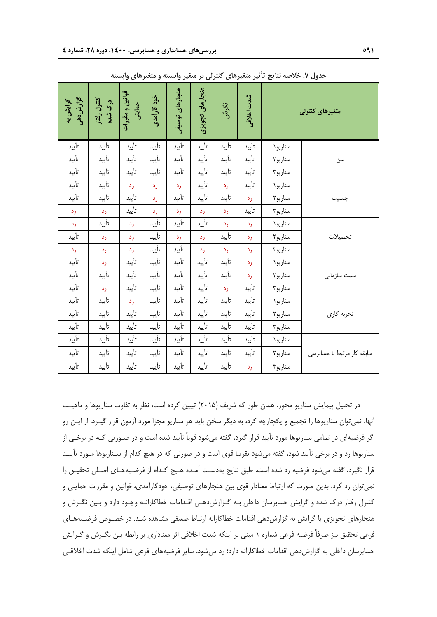| گرایش به<br>گزارش دهی | کنترل رفتار<br>درک شده | قوانین و مقررات<br>حمايتى | خود کار آمدی | هنجارهای توصیفی | هنجارهای تجویزی | نگوش  | شدت اخلاقى | متغیرهای کنترلی |                            |
|-----------------------|------------------------|---------------------------|--------------|-----------------|-----------------|-------|------------|-----------------|----------------------------|
| تأييد                 | تأييد                  | تأييد                     | تأييد        | تأييد           | تأييد           | تأييد | تأييد      | سناريو ۱        |                            |
| تأييد                 | تأييد                  | تأييد                     | تأييد        | تأييد           | تأييد           | تأييد | تأييد      | سناريو٢         | سن                         |
| تأييد                 | تأييد                  | تأييد                     | تأييد        | تأييد           | تأييد           | تأييد | تأييد      | سناريو٢         |                            |
| تأييد                 | تأييد                  | رد                        | رد           | رد              | تأييد           | رد    | تأييد      | سناريو ۱        |                            |
| تأييد                 | تأييد                  | تأييد                     | رد           | تأييد           | تأييد           | تأييد | رد         | سناريو٢         | جنسيت                      |
| رد                    | رد                     | تأييد                     | رد           | رد              | رد              | رد    | تأييد      | سناريو٢         |                            |
| رد                    | تأييد                  | رد                        | تأييد        | تأييد           | تأييد           | رد    | رد         | سناريو ۱        |                            |
| تأييد                 | رد                     | رد                        | تأييد        | رد              | رد              | تأييد | رد         | سناريو٢         | تحصيلات                    |
| رد                    | رد                     | رد                        | تأييد        | تأييد           | رد              | رد    | رد         | سناريو٢         |                            |
| تأييد                 | رد                     | تأييد                     | تأييد        | تأييد           | تأييد           | تأييد | رد         | سناريو ۱        |                            |
| تأييد                 | تأييد                  | تأييد                     | تأييد        | تأييد           | تأييد           | تأييد | رد         | سناريو٢         | سمت سازمانى                |
| تأييد                 | رد                     | تأييد                     | تأييد        | تأييد           | تأييد           | رد    | تأييد      | سناريو٢         |                            |
| تأييد                 | تأييد                  | رد                        | تأييد        | تأييد           | تأييد           | تأييد | تأييد      | سناريو ۱        |                            |
| تأييد                 | تأييد                  | تأييد                     | تأييد        | تأييد           | تأييد           | تأييد | تأييد      | سناريو٢         | تجربه كارى                 |
| تأييد                 | تأييد                  | تأييد                     | تأييد        | تأييد           | تأييد           | تأييد | تأييد      | سناريو٢         |                            |
| تأييد                 | تأييد                  | تأييد                     | تأييد        | تأييد           | تأييد           | تأييد | تأييد      | سناريو ١        |                            |
| تأييد                 | تأييد                  | تأييد                     | تأييد        | تأييد           | تأييد           | تأييد | تأييد      | سناريو٢         | سابقه كار مرتبط با حسابرسى |
| تأييد                 | تأييد                  | تأييد                     | تأييد        | تأييد           | تأييد           | تأييد | رد         | سناريو٢         |                            |

**جدول .7 خلاصه نتايج تأثير متغيرهاي كنترلي بر متغير وابسته و متغيرهاي وابسته** 

در تحليل پيمايش سناريو محور، همان طور كه شريف (2015) تبيين كرده است، نظر به تفاوت سناريوها و ماهيـت آنها، نميتوان سناريوها را تجميع و يكچارچه كرد، به ديگر سخن بايد هر سناريو مجزا مورد آزمون قرار گيـرد. از ايـن رو اگر فرضيهاي در تمامي سناريوها مورد تأييد قرار گيرد، گفته ميشود قوياً تأييد شده است و در صـورتي كـه در برخـي از سناريوها رد و در برخي تأييد شود، گفته ميشود تقريبا قوي است و در صورتي كه در هيچ كدام از سـناريوها مـورد تأييـد قرار نگيرد، گفته ميشود فرضيه رد شده است. طبق نتايج بهدسـت آمـده هـيچ كـدام از فرضـيههـاي اصـلي تحقيـق را نميتوان رد كرد. بدين صورت كه ارتباط معنادار قوي بين هنجارهاي توصيفي، خودكارآمدي، قوانين و مقررات حمايتي و كنترل رفتار درك شده و گرايش حسابرسان داخلي بـه گـزارشدهـي اقـدامات خطاكارانـه وجـود دارد و بـين نگـرش و هنجارهاي تجويزي با گرايش به گزارشدهي اقدامات خطاكارانه ارتباط ضعيفي مشاهده شـد. در خصـوص فرضـيههـاي فرعي تحقيق نيز صرفاً فرضيه فرعي شماره 1 مبني بر اينكه شدت اخلاقي اثر معناداري بر رابطه بين نگـرش و گـرايش حسابرسان داخلي به گزارشدهي اقدامات خطاكارانه دارد؛ رد ميشود. ساير فرضيههاي فرعي شامل اينكه شدت اخلاقـي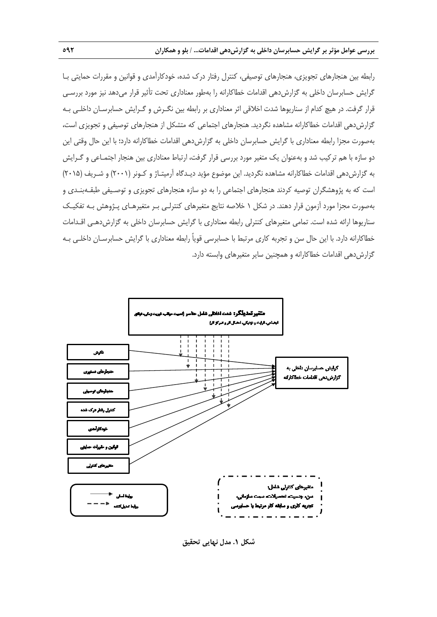رابطه بين هنجارهاي تجويزي، هنجارهاي توصيفي، كنترل رفتار درك شده، خودكارآمدي و قوانين و مقررات حمايتي بـا گرايش حسابرسان داخلي به گزارشدهي اقدامات خطاكارانه را بهطور معناداري تحت تأثير قرار ميدهد نيز مورد بررسـي قرار گرفت. در هيچ كدام از سناريوها شدت اخلاقي اثر معناداري بر رابطه بين نگـرش و گـرايش حسابرسـان داخلـي بـه گزارشدهي اقدامات خطاكارانه مشاهده نگرديد. هنجارهاي اجتماعي كه متشكل از هنجارهاي توصيفي و تجويزي است، بهصورت مجزا رابطه معناداري با گرايش حسابرسان داخلي به گزارشدهي اقدامات خطاكارانه دارد؛ با اين حال وقتي اين دو سازه با هم تركيب شد و بهعنوان يك متغير مورد بررسي قرار گرفت، ارتباط معناداري بين هنجار اجتمـاعي و گـرايش به گزارشدهي اقدامات خطاكارانه مشاهده نگرديد. اين موضوع مؤيد ديـدگاه آرميتـاژ و كـونر (2001) و شـريف (2015) است كه به پژوهشگران توصيه كردند هنجارهاي اجتماعي را به دو سازه هنجارهاي تجويزي و توصـيفي طبقـهبنـدي و بهصورت مجزا مورد آزمون قرار دهند. در شكل 1 خلاصه نتايج متغيرهاي كنترلـي بـر متغيرهـاي پـژوهش بـه تفكيـك سناريوها ارائه شده است. تمامي متغيرهاي كنترلي رابطه معناداري با گرايش حسابرسان داخلي به گزارشدهـي اقـدامات خطاكارانه دارد. با اين حال سن و تجربه كاري مرتبط با حسابرسي قوياً رابطه معناداري با گرايش حسابرسـان داخلـي بـه گزارش دهي اقدامات خطاكارانه و همچنين ساير متغيرهاي وابسته دارد.



**شكل .1 مدل نهايي تحقيق**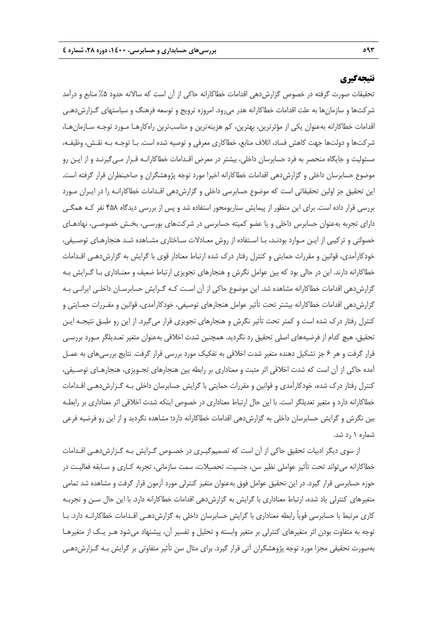# **نتيجهگيري**

تحقيقات صورت گرفته در خصوص گزارشدهي اقدامات خطاكارانه حاكي از آن است كه سالانه حدود %5 منابع و درآمد شركتها و سازمانها به علت اقدامات خطاكارانه هدر ميرود. امروزه ترويج و توسعه فرهنگ و سياستهاي گـزارشدهـي اقدامات خطاكارانه بهعنوان يكي از مؤثرترين، بهترين، كم هزينهترين و مناسبترين راهكارهـا مـورد توجـه سـازمانهـا، شركتها و دولتها جهت كاهش فساد، اتلاف منابع، خطاكاري معرفي و توصيه شده است. بـا توجـه بـه نقـش، وظيفـه، مسئوليت و جايگاه منحصر به فرد حسابرسان داخلي، بيشتر در معرض اقـدامات خطاكارانـه قـرار مـيگيرنـد و از ايـن رو موضوع حسابرسان داخلي و گزارشدهي اقدامات خطاكارانه اخيرا مورد توجه پژوهشگران و صاحبنظران قرار گرفته است. اين تحقيق جز اولين تحقيقاتي است كه موضوع حسابرسي داخلي و گزارشدهي اقـدامات خطاكارانـه را در ايـران مـورد بررسي قرار داده است. براي اين منظور از پيمايش سناريومحور استفاده شد و پس از بررسي ديدگاه 458 نفر كـه همگـي داراي تجربه بهعنوان حسابرس داخلي و يا عضو كميته حسابرسي در شركتهاي بورسـي، بخـش خصوصـي، نهادهـاي خصولتي و تركيبي از ايـن مـوارد بودنـد، بـا اسـتفاده از روش معـادلات سـاختاري مشـاهده شـد هنجارهـاي توصـيفي، خودكارآمدي، قوانين و مقررات حمايتي و كنترل رفتار درك شده ارتباط معنادار قوي با گرايش به گزارشدهـي اقـدامات خطاكارانه دارند. اين در حالي بود كه بين عوامل نگرش و هنجارهاي تجويزي ارتباط ضعيف و معنـاداري بـا گـرايش بـه گزارشدهي اقدامات خطاكارانه مشاهده شد. اين موضوع حاكي از آن اسـت كـه گـرايش حسابرسـان داخلـي ايرانـي بـه گزارشدهي اقدامات خطاكارانه بيشتر تحت تأثير عوامل هنجارهاي توصيفي، خودكارآمدي، قوانين و مقـررات حمـايتي و كنترل رفتار درك شده است و كمتر تحت تأثير نگرش و هنجارهاي تجويزي قرار ميگيرد. از اين رو طبـق نتيجـه ايـن تحقيق، هيچ كدام از فرضيههاي اصلي تحقيق رد نگرديد. همچنين شدت اخلاقي بهعنوان متغير تعـديلگر مـورد بررسـي قرار گرفت و هر 6 جز تشكيل دهنده متغير شدت اخلاقي به تفكيك مورد بررسي قرار گرفت. نتايج بررسيهاي به عمـل آمده حاكي از آن است كه شدت اخلاقي اثر مثبت و معناداري بر رابطه بين هنجارهاي تجـويزي، هنجارهـاي توصـيفي، كنترل رفتار درك شده، خودكارآمدي و قوانين و مقررات حمايتي با گرايش حسابرسان داخلي بـه گـزارشدهـي اقـدامات خطاكارانه دارد و متغير تعديلگر است. با اين حال ارتباط معناداري در خصوص اينكه شدت اخلاقي اثر معناداري بر رابطـه بين نگرش و گرايش حسابرسان داخلي به گزارشدهي اقدامات خطاكارانه دارد؛ مشاهده نگرديد و از اين رو فرضيه فرعي شماره 1 رد شد.

از سوي ديگر ادبيات تحقيق حاكي از آن است كه تصميمگيـري در خصـوص گـرايش بـه گـزارشدهـي اقـدامات خطاكارانه ميتواند تحت تأثير عواملي نظير سن، جنسيت، تحصيلات، سمت سازماني، تجربه كـاري و سـابقه فعاليـت در حوزه حسابرسي قرار گيرد. در اين تحقيق عوامل فوق بهعنوان متغير كنترلي مورد آزمون قرار گرفت و مشاهده شد تمامي متغيرهاي كنترلي ياد شده، ارتباط معناداري با گرايش به گزارشدهي اقدامات خطاكارانه دارد. با اين حال سـن و تجربـه كاري مرتبط با حسابرسي قوياً رابطه معناداري با گرايش حسابرسان داخلي به گزارشدهـي اقـدامات خطاكارانـه دارد. بـا توجه به متفاوت بودن اثر متغيرهاي كنترلي بر متغير وابسته و تحليل و تفسير آن، پيشنهاد ميشود هـر يـك از متغيرهـا بهصورت تحقيقي مجزا مورد توجه پژوهشگران آتي قرار گيرد. براي مثال سن تأثير متفاوتي بر گرايش بـه گـزارشدهـي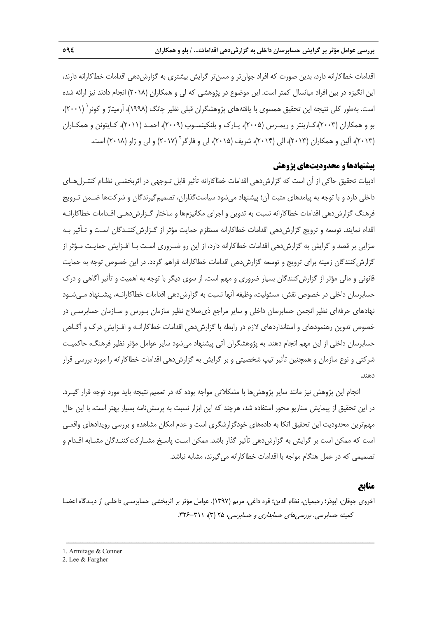اقدامات خطاكارانه دارد، بدين صورت كه افراد جوانتر و مسنتر گرايش بيشتري به گزارشدهي اقدامات خطاكارانه دارند، اين انگيزه در بين افراد ميانسال كمتر است. اين موضوع در پژوهشي كه لي و همكاران (2018) انجام دادند نيز ارائه شده است. بهطور كلي نتيجه اين تحقيق همسوي با يافتههاي پژوهشگران قبلي نظير چانگ (١٩٩٨)، آرميتاژ و كونر ` (٢٠٠١)، بو و همكاران (2003)،كـارپنتر و ريمـرس (2005)، پـارك و بلنكينسـوپ (2009)، احمـد (2011)، كـايتونن و همكـاران (٢٠١٣)، آلين و همكاران (٢٠١٣)، الي (٢٠١۴)، شريف (٢٠١۵)، لي و فارگر<sup>۲</sup> (٢٠١٧) و لي و ژاو (٢٠١٨) است.

### **پيشنهادها و محدوديتهاي پژوهش**

ادبيات تحقيق حاكي از آن است كه گزارشدهي اقدامات خطاكارانه تأثير قابل تـوجهي در اثربخشـي نظـام كنتـرلهـاي داخلي دارد و با توجه به پيامدهاي مثبت آن؛ پيشنهاد ميشود سياستگذاران، تصميمگيرندگان و شركتها ضـمن تـرويج فرهنگ گزارش دهي اقدامات خطاكارانه نسبت به تدوين و اجراي مكانيزمها و ساختار گـزارش دهـي اقـدامات خطاكارانـه اقدام نمايند. توسعه و ترويج گزارش دهي اقدامات خطاكارانه مستلزم حمايت مؤثر از گـزارش كننـدگان اسـت و تـأثير بـه سزايي بر قصد و گرايش به گزارشدهي اقدامات خطاكارانه دارد، از اين رو ضـروري اسـت بـا افـزايش حمايـت مـؤثر از گزارش كنندگان زمينه براي ترويج و توسعه گزارش دهي اقدامات خطاكارانه فراهم گردد. در اين خصوص توجه به حمايت قانوني و مالي مؤثر از گزارش كنندگان بسيار ضروري و مهم است. از سوي ديگر با توجه به اهميت و تأثير آگاهي و درک حسابرسان داخلي در خصوص نقش، مسئوليت، وظيفه آنها نسبت به گزارشدهي اقدامات خطاكارانـه، پيشـنهاد مـيشـود نهادهاي حرفهاي نظير انجمن حسابرسان داخلي و ساير مراجع ذيصلاح نظير سازمان بـورس و سـازمان حسابرسـي در خصوص تدوين رهنمودهاي و استانداردهاي لازم در رابطه با گزارشدهي اقدامات خطاكارانـه و افـزايش درك و آگـاهي حسابرسان داخلي از اين مهم انجام دهند. به پژوهشگران آتي پيشنهاد ميشود ساير عوامل مؤثر نظير فرهنگ، حاكميـت شركتي و نوع سازمان و همچنين تأثير تيپ شخصيتي و بر گرايش به گزارش دهي اقدامات خطاكارانه را مورد بررسي قرار دهند.

انجام اين پژوهش نيز مانند ساير پژوهشها با مشكلاتي مواجه بوده كه در تعميم نتيجه بايد مورد توجه قرار گيـرد. در اين تحقيق از پيمايش سناريو محور استفاده شد، هرچند كه اين ابزار نسبت به پرسشنامه بسيار بهتر است، با اين حال مهمترين محدوديت اين تحقيق اتكا به دادههاي خودگزارشگري است و عدم امكان مشاهده و بررسي رويدادهاي واقعـي است كه ممكن است بر گرايش به گزارشدهي تأثير گذار باشد. ممكن اسـت پاسـخ مشـاركتكننـدگان مشـابه اقـدام و تصميمي كه در عمل هنگام مواجه با اقدامات خطاكارانه ميگيرند، مشابه نباشد.

# **منابع**

اخروي جوقان، ابوذر؛ رحيميان، نظام الدين؛ قره داغي، مريم (1397). عوامل مؤثر بر اثربخشي حسابرسـي داخلـي از ديـدگاه اعضـا كميته حسابرسي. *بررسي هاي حسابداري و حسابرسي،* ٢۵ (٣)، ٣١١-٣٢۶.

<sup>1.</sup> Armitage & Conner

<sup>2.</sup> Lee & Fargher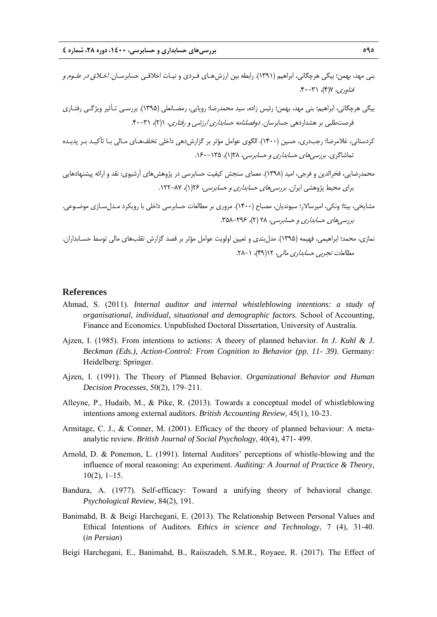- بني مهد، بهمن؛ بيگي هرچگاني، ابراهيم (1391). رابطه بين ارزشهـاي فـردي و نيـات اخلاقـي حسابرسـان. اخـلاق در علـوم <sup>و</sup>  $f^*(\gamma)$ ، (۳)، ۳۰-۴۰.
- بيگي هرچگاني، ابراهيم؛ بني مهد، بهمن؛ رئيس زاده، سيد محمدرضا؛ رويايي، رمضـانعلي (1395). بررسـي تـأثير ويژگـي رفتـاري فرصت طلبي بر هشداردهي حسابرسان. *دوفصلنامه حسابداري ارزشي و رفتاري،* (1)، ٣١-۴٠.
- كردستاني، غلامرضا؛ رجبدري، حسين (1400). الگوي عوامل مؤثر بر گزارشدهي داخلي تخلفهـاي مـالي بـا تأكيـد بـر پديـده تماشاگري. بررسي هاي حس*ابداري و حسابرسي، ١٣*٨(١)، ١٣٥-١۶٠.
- محمدرضايي، فخرالدين و فرجي، اميد (1398). معماي سنجش كيفيت حسابرسي در پژوهشهاي آرشيوي: نقد و ارائه پيشنهادهايي براي محيط پژوهشي ايران. *بررسي هاي حسابداري و حسابرسي، ١٢۶*(١)، ٨٧-١٢٢.
- مشايخي، بيتا؛ ونكي، اميرسالار؛ سيونديان، مصباح (1400). مروري بر مطالعات حسابرسي داخلي با رويكرد مـدلسـازي موضـوعي. بررسي هاي حس*ابداري و حسابرسي، ٢٨* (٢)، ٢٩۶-٢٥٨.
- نمازي، محمد؛ ابراهيمي، فهيمه (1395). مدلبندي و تعيين اولويت عوامل مؤثر بر قصد گزارش تقلبهاي مالي توسط حسـابداران. مطالعات تجربي حسابداري مالي، 12(49)، .28-1

#### **References**

- Ahmad, S. (2011). *Internal auditor and internal whistleblowing intentions: a study of organisational, individual, situational and demographic factors.* School of Accounting, Finance and Economics. Unpublished Doctoral Dissertation, University of Australia.
- Ajzen, I. (1985). From intentions to actions: A theory of planned behavior. *In J. Kuhl & J. Beckman (Eds.), Action-Control: From Cognition to Behavior (pp. 11- 39).* Germany: Heidelberg: Springer.
- Ajzen, I. (1991). The Theory of Planned Behavior*. Organizational Behavior and Human Decision Processes*, 50(2), 179–211.
- Alleyne, P., Hudaib, M., & Pike, R. (2013). Towards a conceptual model of whistleblowing intentions among external auditors. *British Accounting Review,* 45(1), 10-23.
- Armitage, C. J., & Conner, M. (2001). Efficacy of the theory of planned behaviour: A metaanalytic review. *British Journal of Social Psychology*, 40(4), 471- 499.
- Arnold, D. & Ponemon, L. (1991). Internal Auditors' perceptions of whistle-blowing and the influence of moral reasoning: An experiment. *Auditing: A Journal of Practice & Theory,*  $10(2)$ , 1–15.
- Bandura, A. (1977). Self-efficacy: Toward a unifying theory of behavioral change. *Psychological Review*, 84(2), 191.
- Banimahd, B. & Beigi Harchegani, E. (2013). The Relationship Between Personal Values and Ethical Intentions of Auditors. *Ethics in science and Technology*, 7 (4), 31-40. (*in Persian*)
- Beigi Harchegani, E., Banimahd, B., Raiiszadeh, S.M.R., Royaee, R. (2017). The Effect of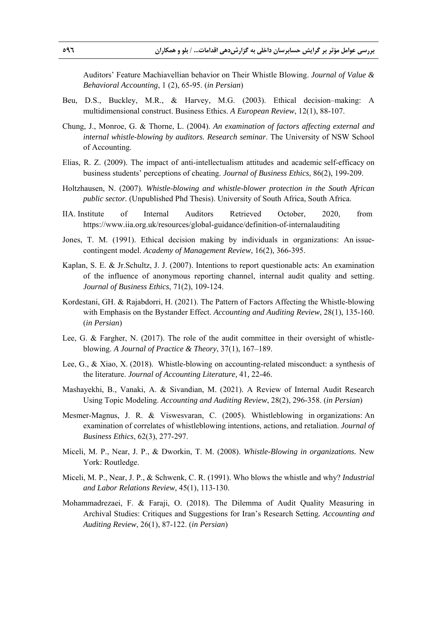Auditors' Feature Machiavellian behavior on Their Whistle Blowing. *Journal of Value & Behavioral Accounting*, 1 (2), 65-95. (*in Persian*)

- Beu, D.S., Buckley, M.R., & Harvey, M.G. (2003). Ethical decision–making: A multidimensional construct. Business Ethics. *A European Review*, 12(1), 88-107.
- Chung, J., Monroe, G. & Thorne, L. (2004). *An examination of factors affecting external and internal whistle-blowing by auditors. Research seminar*. The University of NSW School of Accounting.
- Elias, R. Z. (2009). The impact of anti-intellectualism attitudes and academic self-efficacy on business students' perceptions of cheating. *Journal of Business Ethics*, 86(2), 199-209.
- Holtzhausen, N. (2007). *Whistle-blowing and whistle-blower protection in the South African public sector.* (Unpublished Phd Thesis). University of South Africa, South Africa.
- IIA. Institute of Internal Auditors Retrieved October, 2020, from https://www.iia.org.uk/resources/global-guidance/definition-of-internalauditing
- Jones, T. M. (1991). Ethical decision making by individuals in organizations: An issuecontingent model. *Academy of Management Review*, 16(2), 366-395.
- Kaplan, S. E. & Jr.Schultz, J. J. (2007). Intentions to report questionable acts: An examination of the influence of anonymous reporting channel, internal audit quality and setting. *Journal of Business Ethics*, 71(2), 109-124.
- Kordestani, GH. & Rajabdorri, H. (2021). The Pattern of Factors Affecting the Whistle-blowing with Emphasis on the Bystander Effect. *Accounting and Auditing Review*, 28(1), 135-160. (*in Persian*)
- Lee, G. & Fargher, N. (2017). The role of the audit committee in their oversight of whistleblowing. *A Journal of Practice & Theory*, 37(1), 167–189.
- Lee, G., & Xiao, X. (2018). Whistle-blowing on accounting-related misconduct: a synthesis of the literature. *Journal of Accounting Literature,* 41*,* 22-46.
- Mashayekhi, B., Vanaki, A. & Sivandian, M. (2021). A Review of Internal Audit Research Using Topic Modeling. *Accounting and Auditing Review*, 28(2), 296-358. (*in Persian*)
- Mesmer-Magnus, J. R. & Viswesvaran, C. (2005). Whistleblowing in organizations: An examination of correlates of whistleblowing intentions, actions, and retaliation. *Journal of Business Ethics*, 62(3), 277-297.
- Miceli, M. P., Near, J. P., & Dworkin, T. M. (2008). *Whistle-Blowing in organizations.* New York: Routledge.
- Miceli, M. P., Near, J. P., & Schwenk, C. R. (1991). Who blows the whistle and why? *Industrial and Labor Relations Review,* 45(1), 113-130.
- Mohammadrezaei, F. & Faraji, O. (2018). The Dilemma of Audit Quality Measuring in Archival Studies: Critiques and Suggestions for Iran's Research Setting*. Accounting and Auditing Review*, 26(1), 87-122. (*in Persian*)